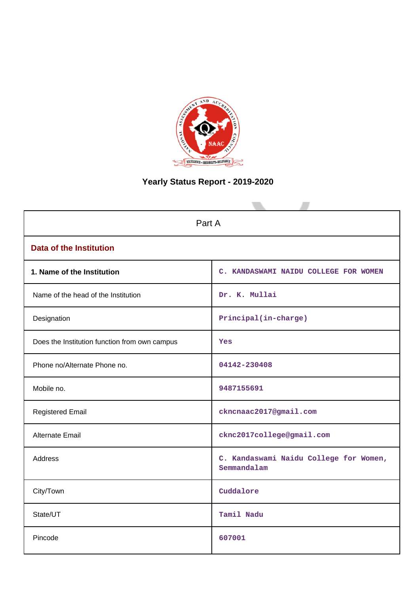

# **Yearly Status Report - 2019-2020**

| Part A                                        |                                                       |  |  |
|-----------------------------------------------|-------------------------------------------------------|--|--|
| <b>Data of the Institution</b>                |                                                       |  |  |
| 1. Name of the Institution                    | C. KANDASWAMI NAIDU COLLEGE FOR WOMEN                 |  |  |
| Name of the head of the Institution           | Dr. K. Mullai                                         |  |  |
| Designation                                   | Principal(in-charge)                                  |  |  |
| Does the Institution function from own campus | Yes                                                   |  |  |
| Phone no/Alternate Phone no.                  | 04142-230408                                          |  |  |
| Mobile no.                                    | 9487155691                                            |  |  |
| <b>Registered Email</b>                       | ckncnaac2017@gmail.com                                |  |  |
| <b>Alternate Email</b>                        | cknc2017college@gmail.com                             |  |  |
| Address                                       | C. Kandaswami Naidu College for Women,<br>Semmandalam |  |  |
| City/Town                                     | Cuddalore                                             |  |  |
| State/UT                                      | Tamil Nadu                                            |  |  |
| Pincode                                       | 607001                                                |  |  |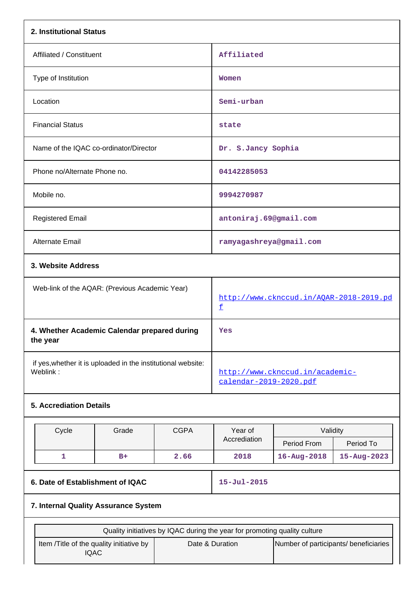| 2. Institutional Status                                                   |                                                |             |                                                          |                                 |                   |
|---------------------------------------------------------------------------|------------------------------------------------|-------------|----------------------------------------------------------|---------------------------------|-------------------|
| Affiliated / Constituent                                                  |                                                | Affiliated  |                                                          |                                 |                   |
| Type of Institution                                                       |                                                |             | Women                                                    |                                 |                   |
| Location                                                                  |                                                |             | Semi-urban                                               |                                 |                   |
| <b>Financial Status</b>                                                   |                                                | state       |                                                          |                                 |                   |
| Name of the IQAC co-ordinator/Director                                    |                                                |             | Dr. S.Jancy Sophia                                       |                                 |                   |
| Phone no/Alternate Phone no.                                              |                                                |             | 04142285053                                              |                                 |                   |
| Mobile no.                                                                |                                                |             | 9994270987                                               |                                 |                   |
| <b>Registered Email</b>                                                   | antoniraj.69@gmail.com                         |             |                                                          |                                 |                   |
| Alternate Email                                                           |                                                |             | ramyagashreya@gmail.com                                  |                                 |                   |
| 3. Website Address                                                        |                                                |             |                                                          |                                 |                   |
|                                                                           | Web-link of the AQAR: (Previous Academic Year) |             | http://www.cknccud.in/AQAR-2018-2019.pd<br>£             |                                 |                   |
| 4. Whether Academic Calendar prepared during<br>the year                  |                                                |             | Yes                                                      |                                 |                   |
| if yes, whether it is uploaded in the institutional website:<br>Weblink:  |                                                |             | calendar-2019-2020.pdf                                   | http://www.cknccud.in/academic- |                   |
| <b>5. Accrediation Details</b>                                            |                                                |             |                                                          |                                 |                   |
| Cycle                                                                     | Grade                                          | <b>CGPA</b> | Year of                                                  | Validity                        |                   |
|                                                                           |                                                |             | Accrediation                                             | Period From                     | Period To         |
| $\mathbf{1}$                                                              | $B+$                                           | 2.66        | 2018                                                     | $16 - Aug - 2018$               | $15 - Aug - 2023$ |
| $15 - Jul - 2015$<br>6. Date of Establishment of IQAC                     |                                                |             |                                                          |                                 |                   |
|                                                                           | 7. Internal Quality Assurance System           |             |                                                          |                                 |                   |
| Quality initiatives by IQAC during the year for promoting quality culture |                                                |             |                                                          |                                 |                   |
| Item /Title of the quality initiative by<br><b>IQAC</b>                   |                                                |             | Date & Duration<br>Number of participants/ beneficiaries |                                 |                   |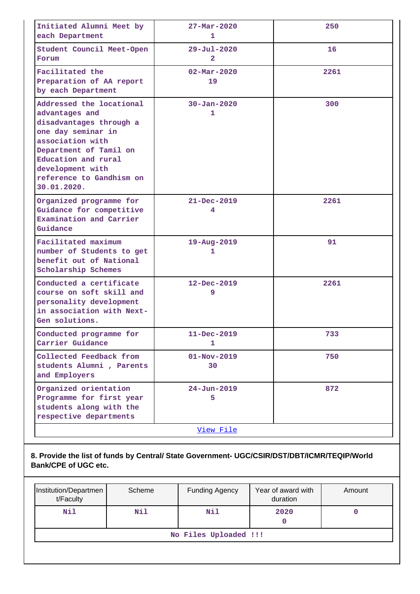| Initiated Alumni Meet by<br>each Department                                                                                                                                                                                     | $27 - \text{Mar} - 2020$<br>1              |      |
|---------------------------------------------------------------------------------------------------------------------------------------------------------------------------------------------------------------------------------|--------------------------------------------|------|
| Student Council Meet-Open<br>Forum                                                                                                                                                                                              | $29 - \text{Jul} - 2020$<br>$\overline{2}$ | 16   |
| Facilitated the<br>Preparation of AA report<br>by each Department                                                                                                                                                               | $02 - \text{Mar} - 2020$<br>19             | 2261 |
| Addressed the locational<br>advantages and<br>disadvantages through a<br>one day seminar in<br>association with<br>Department of Tamil on<br>Education and rural<br>development with<br>reference to Gandhism on<br>30.01.2020. | $30 - Jan - 2020$<br>1                     | 300  |
| Organized programme for<br>Guidance for competitive<br>Examination and Carrier<br>Guidance                                                                                                                                      | $21 - Dec - 2019$<br>4                     | 2261 |
| Facilitated maximum<br>number of Students to get<br>benefit out of National<br>Scholarship Schemes                                                                                                                              | 19-Aug-2019<br>1                           | 91   |
| Conducted a certificate<br>course on soft skill and<br>personality development<br>in association with Next-<br>Gen solutions.                                                                                                   | 12-Dec-2019<br>9                           | 2261 |
| Conducted programme for<br>Carrier Guidance                                                                                                                                                                                     | 11-Dec-2019<br>1.                          | 733  |
| Collected Feedback from<br>students Alumni, Parents<br>and Employers                                                                                                                                                            | $01 - Nov - 2019$<br>30                    | 750  |
| Organized orientation<br>Programme for first year<br>students along with the<br>respective departments                                                                                                                          | $24 - Jun - 2019$<br>5                     | 872  |
|                                                                                                                                                                                                                                 | View File                                  |      |

**8. Provide the list of funds by Central/ State Government- UGC/CSIR/DST/DBT/ICMR/TEQIP/World Bank/CPE of UGC etc.**

| Institution/Departmen<br>t/Faculty | Scheme | <b>Funding Agency</b> | Year of award with<br>duration | Amount |  |
|------------------------------------|--------|-----------------------|--------------------------------|--------|--|
| Nil                                | Nil    | Nil                   | 2020                           |        |  |
| No Files Uploaded !!!              |        |                       |                                |        |  |
|                                    |        |                       |                                |        |  |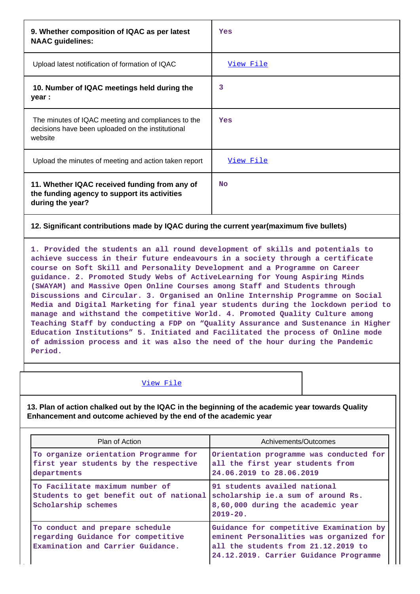| 9. Whether composition of IQAC as per latest<br><b>NAAC</b> guidelines:                                            | Yes              |
|--------------------------------------------------------------------------------------------------------------------|------------------|
| Upload latest notification of formation of IQAC                                                                    | <u>View File</u> |
| 10. Number of IQAC meetings held during the<br>year :                                                              | 3                |
| The minutes of IQAC meeting and compliances to the<br>decisions have been uploaded on the institutional<br>website | Yes              |
| Upload the minutes of meeting and action taken report                                                              | View File        |
| 11. Whether IQAC received funding from any of<br>the funding agency to support its activities<br>during the year?  | <b>No</b>        |

### **12. Significant contributions made by IQAC during the current year(maximum five bullets)**

**1. Provided the students an all round development of skills and potentials to achieve success in their future endeavours in a society through a certificate course on Soft Skill and Personality Development and a Programme on Career guidance. 2. Promoted Study Webs of ActiveLearning for Young Aspiring Minds (SWAYAM) and Massive Open Online Courses among Staff and Students through Discussions and Circular. 3. Organised an Online Internship Programme on Social Media and Digital Marketing for final year students during the lockdown period to manage and withstand the competitive World. 4. Promoted Quality Culture among Teaching Staff by conducting a FDP on "Quality Assurance and Sustenance in Higher Education Institutions" 5. Initiated and Facilitated the process of Online mode of admission process and it was also the need of the hour during the Pandemic Period.**

#### [View File](https://assessmentonline.naac.gov.in/public/Postacc/Contribution/1671_Contribution.xlsx)

**13. Plan of action chalked out by the IQAC in the beginning of the academic year towards Quality Enhancement and outcome achieved by the end of the academic year**

| Plan of Action                                                                                             | Achivements/Outcomes                                                                                                                                                |  |
|------------------------------------------------------------------------------------------------------------|---------------------------------------------------------------------------------------------------------------------------------------------------------------------|--|
| To organize orientation Programme for<br>first year students by the respective<br>departments              | Orientation programme was conducted for<br>all the first year students from<br>24.06.2019 to 28.06.2019                                                             |  |
| To Facilitate maximum number of<br>Students to get benefit out of national<br>Scholarship schemes          | 91 students availed national<br>scholarship ie.a sum of around Rs.<br>8,60,000 during the academic year<br>$2019 - 20$ .                                            |  |
| To conduct and prepare schedule<br>regarding Guidance for competitive<br>Examination and Carrier Guidance. | Guidance for competitive Examination by<br>eminent Personalities was organized for<br>all the students from 21.12.2019 to<br>24.12.2019. Carrier Guidance Programme |  |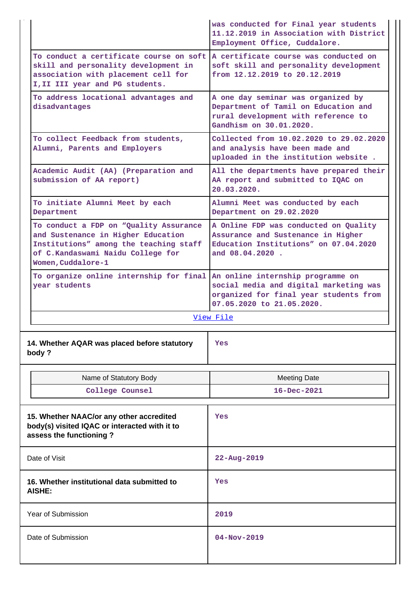|                                                                                                                                                                                   | was conducted for Final year students<br>11.12.2019 in Association with District<br>Employment Office, Cuddalore.                                  |  |  |  |
|-----------------------------------------------------------------------------------------------------------------------------------------------------------------------------------|----------------------------------------------------------------------------------------------------------------------------------------------------|--|--|--|
| To conduct a certificate course on soft<br>skill and personality development in<br>association with placement cell for<br>I, II III year and PG students.                         | A certificate course was conducted on<br>soft skill and personality development<br>from 12.12.2019 to 20.12.2019                                   |  |  |  |
| To address locational advantages and<br>disadvantages                                                                                                                             | A one day seminar was organized by<br>Department of Tamil on Education and<br>rural development with reference to<br>Gandhism on 30.01.2020.       |  |  |  |
| To collect Feedback from students,<br>Alumni, Parents and Employers                                                                                                               | Collected from 10.02.2020 to 29.02.2020<br>and analysis have been made and<br>uploaded in the institution website.                                 |  |  |  |
| Academic Audit (AA) (Preparation and<br>submission of AA report)                                                                                                                  | All the departments have prepared their<br>AA report and submitted to IQAC on<br>20.03.2020.                                                       |  |  |  |
| To initiate Alumni Meet by each<br>Department                                                                                                                                     | Alumni Meet was conducted by each<br>Department on 29.02.2020                                                                                      |  |  |  |
| To conduct a FDP on "Quality Assurance<br>and Sustenance in Higher Education<br>Institutions" among the teaching staff<br>of C.Kandaswami Naidu College for<br>Women, Cuddalore-1 | A Online FDP was conducted on Quality<br>Assurance and Sustenance in Higher<br>Education Institutions" on 07.04.2020<br>and 08.04.2020.            |  |  |  |
| To organize online internship for final<br>year students                                                                                                                          | An online internship programme on<br>social media and digital marketing was<br>organized for final year students from<br>07.05.2020 to 21.05.2020. |  |  |  |
|                                                                                                                                                                                   | View File                                                                                                                                          |  |  |  |
| 14. Whether AQAR was placed before statutory<br>body?                                                                                                                             | Yes                                                                                                                                                |  |  |  |
| Name of Statutory Body                                                                                                                                                            | <b>Meeting Date</b>                                                                                                                                |  |  |  |
| College Counsel                                                                                                                                                                   | 16-Dec-2021                                                                                                                                        |  |  |  |
| 15. Whether NAAC/or any other accredited<br>body(s) visited IQAC or interacted with it to<br>assess the functioning?                                                              | Yes                                                                                                                                                |  |  |  |
| Date of Visit                                                                                                                                                                     | $22 - Aug - 2019$                                                                                                                                  |  |  |  |
| 16. Whether institutional data submitted to<br><b>AISHE:</b>                                                                                                                      | Yes                                                                                                                                                |  |  |  |
| Year of Submission                                                                                                                                                                | 2019                                                                                                                                               |  |  |  |
| Date of Submission                                                                                                                                                                | $04 - Nov - 2019$                                                                                                                                  |  |  |  |
|                                                                                                                                                                                   |                                                                                                                                                    |  |  |  |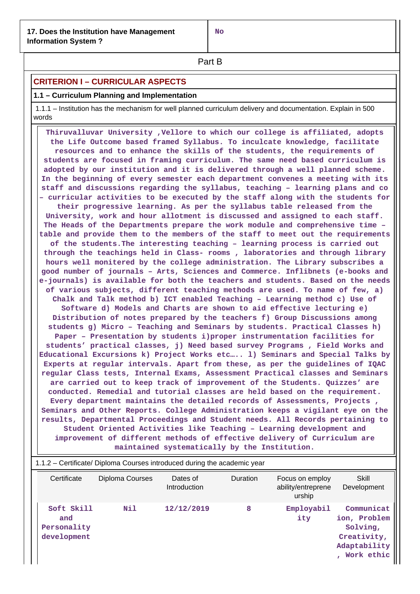**No**

**Part B** 

# **CRITERION I – CURRICULAR ASPECTS**

### **1.1 – Curriculum Planning and Implementation**

 1.1.1 – Institution has the mechanism for well planned curriculum delivery and documentation. Explain in 500 words

 **Thiruvalluvar University ,Vellore to which our college is affiliated, adopts the Life Outcome based framed Syllabus. To inculcate knowledge, facilitate resources and to enhance the skills of the students, the requirements of students are focused in framing curriculum. The same need based curriculum is adopted by our institution and it is delivered through a well planned scheme. In the beginning of every semester each department convenes a meeting with its staff and discussions regarding the syllabus, teaching – learning plans and co – curricular activities to be executed by the staff along with the students for their progressive learning. As per the syllabus table released from the University, work and hour allotment is discussed and assigned to each staff. The Heads of the Departments prepare the work module and comprehensive time – table and provide them to the members of the staff to meet out the requirements of the students.The interesting teaching – learning process is carried out through the teachings held in Class- rooms , laboratories and through library hours well monitered by the college administration. The Library subscribes a good number of journals – Arts, Sciences and Commerce. Inflibnets (e-books and e-journals) is available for both the teachers and students. Based on the needs of various subjects, different teaching methods are used. To name of few, a) Chalk and Talk method b) ICT enabled Teaching – Learning method c) Use of Software d) Models and Charts are shown to aid effective lecturing e) Distribution of notes prepared by the teachers f) Group Discussions among students g) Micro – Teaching and Seminars by students. Practical Classes h) Paper – Presentation by students i)proper instrumentation facilities for students' practical classes, j) Need based survey Programs , Field Works and Educational Excursions k) Project Works etc….. l) Seminars and Special Talks by Experts at regular intervals. Apart from these, as per the guidelines of IQAC regular Class tests, Internal Exams, Assessment Practical classes and Seminars are carried out to keep track of improvement of the Students. Quizzes' are conducted. Remedial and tutorial classes are held based on the requirement. Every department maintains the detailed records of Assessments, Projects , Seminars and Other Reports. College Administration keeps a vigilant eye on the results, Departmental Proceedings and Student needs. All Records pertaining to Student Oriented Activities like Teaching – Learning development and improvement of different methods of effective delivery of Curriculum are maintained systematically by the Institution.**

| 1.1.2 – Certificate/ Diploma Courses introduced during the academic year |                 |                          |          |                                                 |                                                                                     |  |
|--------------------------------------------------------------------------|-----------------|--------------------------|----------|-------------------------------------------------|-------------------------------------------------------------------------------------|--|
| Certificate                                                              | Diploma Courses | Dates of<br>Introduction | Duration | Focus on employ<br>ability/entreprene<br>urship | Skill<br>Development                                                                |  |
| Soft Skill<br>and<br>Personality<br>development                          | Nil             | 12/12/2019               | 8        | Employabil<br>ity                               | Communicat<br>ion, Problem<br>Solving,<br>Creativity,<br>Adaptability<br>Work ethic |  |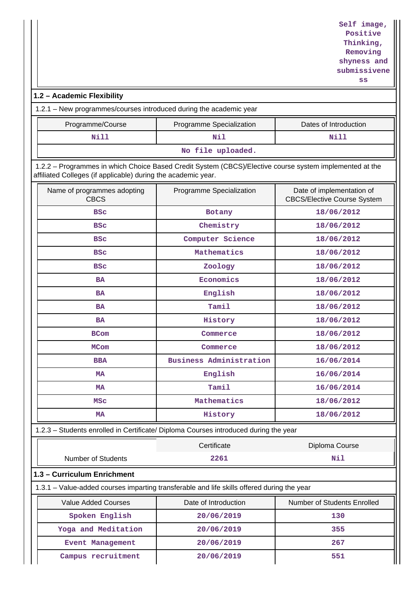# **1.2 – Academic Flexibility**

1.2.1 – New programmes/courses introduced during the academic year

| Programme/Course  | Programme Specialization | Dates of Introduction |  |  |
|-------------------|--------------------------|-----------------------|--|--|
| Nill              | Nil                      | Nill                  |  |  |
| No file uploaded. |                          |                       |  |  |

 1.2.2 – Programmes in which Choice Based Credit System (CBCS)/Elective course system implemented at the affiliated Colleges (if applicable) during the academic year.

| Name of programmes adopting<br><b>CBCS</b> | Programme Specialization                                                                   | Date of implementation of<br><b>CBCS/Elective Course System</b> |  |
|--------------------------------------------|--------------------------------------------------------------------------------------------|-----------------------------------------------------------------|--|
| <b>BSC</b>                                 | Botany                                                                                     | 18/06/2012                                                      |  |
| <b>BSC</b>                                 | Chemistry                                                                                  | 18/06/2012                                                      |  |
| <b>BSC</b>                                 | Computer Science                                                                           | 18/06/2012                                                      |  |
| <b>BSC</b>                                 | Mathematics                                                                                | 18/06/2012                                                      |  |
| <b>BSC</b>                                 | Zoology                                                                                    | 18/06/2012                                                      |  |
| <b>BA</b>                                  | Economics                                                                                  | 18/06/2012                                                      |  |
| <b>BA</b>                                  | English                                                                                    | 18/06/2012                                                      |  |
| BA                                         | Tamil                                                                                      | 18/06/2012                                                      |  |
| <b>BA</b>                                  | History                                                                                    | 18/06/2012                                                      |  |
| <b>BCom</b>                                | Commerce                                                                                   | 18/06/2012                                                      |  |
| <b>MCom</b>                                | Commerce                                                                                   | 18/06/2012                                                      |  |
| <b>BBA</b>                                 | <b>Business Administration</b>                                                             | 16/06/2014                                                      |  |
| <b>MA</b>                                  | English                                                                                    | 16/06/2014                                                      |  |
| <b>MA</b>                                  | Tamil                                                                                      | 16/06/2014                                                      |  |
| MSC                                        | Mathematics                                                                                | 18/06/2012                                                      |  |
| <b>MA</b>                                  | History                                                                                    | 18/06/2012                                                      |  |
|                                            | 1.2.3 - Students enrolled in Certificate/ Diploma Courses introduced during the year       |                                                                 |  |
|                                            | Certificate                                                                                | Diploma Course                                                  |  |
| <b>Number of Students</b>                  | 2261                                                                                       | Nil                                                             |  |
| 1.3 - Curriculum Enrichment                |                                                                                            |                                                                 |  |
|                                            | 1.3.1 - Value-added courses imparting transferable and life skills offered during the year |                                                                 |  |
| Value Added Courses                        | Date of Introduction                                                                       | Number of Students Enrolled                                     |  |
| Spoken English                             | 20/06/2019                                                                                 | 130                                                             |  |
| Yoga and Meditation                        | 20/06/2019                                                                                 | 355                                                             |  |
| <b>Event Management</b>                    | 20/06/2019                                                                                 | 267                                                             |  |
| Campus recruitment                         | 20/06/2019                                                                                 | 551                                                             |  |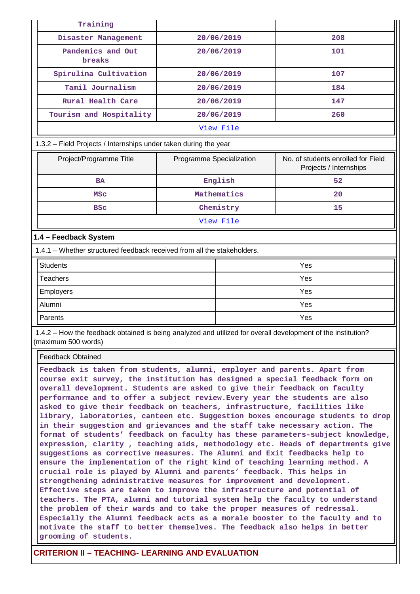| Training                                                                |                          |             |                                                              |  |  |
|-------------------------------------------------------------------------|--------------------------|-------------|--------------------------------------------------------------|--|--|
| Disaster Management                                                     |                          | 20/06/2019  | 208                                                          |  |  |
| Pandemics and Out<br>breaks                                             |                          | 20/06/2019  | 101                                                          |  |  |
| Spirulina Cultivation                                                   |                          | 20/06/2019  | 107                                                          |  |  |
| Tamil Journalism                                                        |                          | 20/06/2019  | 184                                                          |  |  |
| Rural Health Care                                                       |                          | 20/06/2019  | 147                                                          |  |  |
| Tourism and Hospitality                                                 |                          | 20/06/2019  | 260                                                          |  |  |
|                                                                         | View File                |             |                                                              |  |  |
| 1.3.2 - Field Projects / Internships under taken during the year        |                          |             |                                                              |  |  |
| Project/Programme Title                                                 | Programme Specialization |             | No. of students enrolled for Field<br>Projects / Internships |  |  |
| <b>BA</b>                                                               |                          | English     | 52                                                           |  |  |
| <b>MSC</b>                                                              |                          | Mathematics | 20                                                           |  |  |
| <b>BSC</b>                                                              |                          | Chemistry   | 15                                                           |  |  |
|                                                                         |                          | View File   |                                                              |  |  |
| 1.4 - Feedback System                                                   |                          |             |                                                              |  |  |
| 1.4.1 - Whether structured feedback received from all the stakeholders. |                          |             |                                                              |  |  |
| <b>Students</b>                                                         |                          |             | Yes                                                          |  |  |
| <b>Teachers</b>                                                         |                          |             | Yes                                                          |  |  |
| Employers                                                               |                          |             | Yes                                                          |  |  |
| Alumni                                                                  |                          |             | Yes                                                          |  |  |
| Parents                                                                 |                          | Yes         |                                                              |  |  |

 1.4.2 – How the feedback obtained is being analyzed and utilized for overall development of the institution? (maximum 500 words)

Feedback Obtained

**Feedback is taken from students, alumni, employer and parents. Apart from course exit survey, the institution has designed a special feedback form on overall development. Students are asked to give their feedback on faculty performance and to offer a subject review.Every year the students are also asked to give their feedback on teachers, infrastructure, facilities like library, laboratories, canteen etc. Suggestion boxes encourage students to drop in their suggestion and grievances and the staff take necessary action. The format of students' feedback on faculty has these parameters-subject knowledge, expression, clarity , teaching aids, methodology etc. Heads of departments give suggestions as corrective measures. The Alumni and Exit feedbacks help to ensure the implementation of the right kind of teaching learning method. A crucial role is played by Alumni and parents' feedback. This helps in strengthening administrative measures for improvement and development. Effective steps are taken to improve the infrastructure and potential of teachers. The PTA, alumni and tutorial system help the faculty to understand the problem of their wards and to take the proper measures of redressal. Especially the Alumni feedback acts as a morale booster to the faculty and to motivate the staff to better themselves. The feedback also helps in better grooming of students.**

# **CRITERION II – TEACHING- LEARNING AND EVALUATION**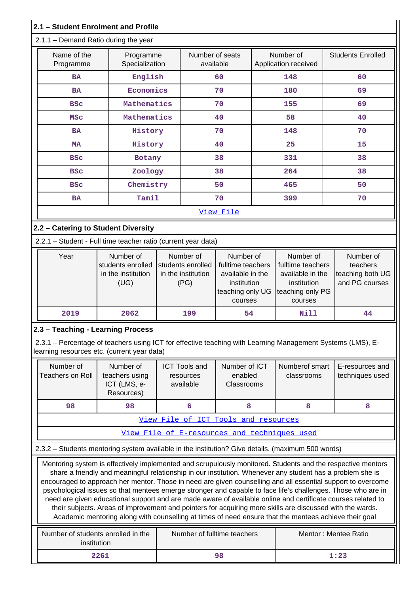|                                                                                                                                                                                                                                                                                                                                                                                                                                                                                                                                                                                                                                                                                                                                                                                                 | 2.1 - Student Enrolment and Profile                                                                                                                       |                                                              |                                                                                                  |  |                                                                                                  |                                                             |
|-------------------------------------------------------------------------------------------------------------------------------------------------------------------------------------------------------------------------------------------------------------------------------------------------------------------------------------------------------------------------------------------------------------------------------------------------------------------------------------------------------------------------------------------------------------------------------------------------------------------------------------------------------------------------------------------------------------------------------------------------------------------------------------------------|-----------------------------------------------------------------------------------------------------------------------------------------------------------|--------------------------------------------------------------|--------------------------------------------------------------------------------------------------|--|--------------------------------------------------------------------------------------------------|-------------------------------------------------------------|
|                                                                                                                                                                                                                                                                                                                                                                                                                                                                                                                                                                                                                                                                                                                                                                                                 | 2.1.1 - Demand Ratio during the year                                                                                                                      |                                                              |                                                                                                  |  |                                                                                                  |                                                             |
| Name of the<br>Programme                                                                                                                                                                                                                                                                                                                                                                                                                                                                                                                                                                                                                                                                                                                                                                        | Programme<br>Specialization                                                                                                                               |                                                              | Number of seats<br>available                                                                     |  | Number of<br>Application received                                                                | <b>Students Enrolled</b>                                    |
| <b>BA</b>                                                                                                                                                                                                                                                                                                                                                                                                                                                                                                                                                                                                                                                                                                                                                                                       | English                                                                                                                                                   |                                                              | 60                                                                                               |  | 148                                                                                              | 60                                                          |
| <b>BA</b>                                                                                                                                                                                                                                                                                                                                                                                                                                                                                                                                                                                                                                                                                                                                                                                       | Economics                                                                                                                                                 |                                                              | 70                                                                                               |  | 180                                                                                              | 69                                                          |
| <b>BSC</b>                                                                                                                                                                                                                                                                                                                                                                                                                                                                                                                                                                                                                                                                                                                                                                                      | Mathematics                                                                                                                                               |                                                              | 70                                                                                               |  | 155                                                                                              | 69                                                          |
| <b>MSC</b>                                                                                                                                                                                                                                                                                                                                                                                                                                                                                                                                                                                                                                                                                                                                                                                      | Mathematics                                                                                                                                               |                                                              | 40                                                                                               |  | 58                                                                                               | 40                                                          |
| <b>BA</b>                                                                                                                                                                                                                                                                                                                                                                                                                                                                                                                                                                                                                                                                                                                                                                                       | History                                                                                                                                                   |                                                              | 70                                                                                               |  | 148                                                                                              | 70                                                          |
| <b>MA</b>                                                                                                                                                                                                                                                                                                                                                                                                                                                                                                                                                                                                                                                                                                                                                                                       | History                                                                                                                                                   |                                                              | 40                                                                                               |  | 25                                                                                               | 15                                                          |
| <b>BSC</b>                                                                                                                                                                                                                                                                                                                                                                                                                                                                                                                                                                                                                                                                                                                                                                                      | Botany                                                                                                                                                    |                                                              | 38                                                                                               |  | 331                                                                                              | 38                                                          |
| <b>BSC</b>                                                                                                                                                                                                                                                                                                                                                                                                                                                                                                                                                                                                                                                                                                                                                                                      | Zoology                                                                                                                                                   |                                                              | 38                                                                                               |  | 264                                                                                              | 38                                                          |
| <b>BSC</b>                                                                                                                                                                                                                                                                                                                                                                                                                                                                                                                                                                                                                                                                                                                                                                                      | Chemistry                                                                                                                                                 |                                                              | 50                                                                                               |  | 465                                                                                              | 50                                                          |
| <b>BA</b>                                                                                                                                                                                                                                                                                                                                                                                                                                                                                                                                                                                                                                                                                                                                                                                       | Tamil                                                                                                                                                     |                                                              | 70                                                                                               |  | 399                                                                                              | 70                                                          |
|                                                                                                                                                                                                                                                                                                                                                                                                                                                                                                                                                                                                                                                                                                                                                                                                 |                                                                                                                                                           |                                                              | View File                                                                                        |  |                                                                                                  |                                                             |
| 2.2 - Catering to Student Diversity                                                                                                                                                                                                                                                                                                                                                                                                                                                                                                                                                                                                                                                                                                                                                             |                                                                                                                                                           |                                                              |                                                                                                  |  |                                                                                                  |                                                             |
|                                                                                                                                                                                                                                                                                                                                                                                                                                                                                                                                                                                                                                                                                                                                                                                                 | 2.2.1 - Student - Full time teacher ratio (current year data)                                                                                             |                                                              |                                                                                                  |  |                                                                                                  |                                                             |
| Year                                                                                                                                                                                                                                                                                                                                                                                                                                                                                                                                                                                                                                                                                                                                                                                            | Number of<br>students enrolled<br>in the institution<br>(UG)                                                                                              | Number of<br>students enrolled<br>in the institution<br>(PG) | Number of<br>fulltime teachers<br>available in the<br>institution<br>teaching only UG<br>courses |  | Number of<br>fulltime teachers<br>available in the<br>institution<br>teaching only PG<br>courses | Number of<br>teachers<br>teaching both UG<br>and PG courses |
| 2019                                                                                                                                                                                                                                                                                                                                                                                                                                                                                                                                                                                                                                                                                                                                                                                            | 2062                                                                                                                                                      | 199                                                          | 54                                                                                               |  | Nill                                                                                             | 44                                                          |
| 2.3 - Teaching - Learning Process                                                                                                                                                                                                                                                                                                                                                                                                                                                                                                                                                                                                                                                                                                                                                               |                                                                                                                                                           |                                                              |                                                                                                  |  |                                                                                                  |                                                             |
|                                                                                                                                                                                                                                                                                                                                                                                                                                                                                                                                                                                                                                                                                                                                                                                                 | 2.3.1 - Percentage of teachers using ICT for effective teaching with Learning Management Systems (LMS), E-<br>learning resources etc. (current year data) |                                                              |                                                                                                  |  |                                                                                                  |                                                             |
| Number of<br><b>Teachers on Roll</b>                                                                                                                                                                                                                                                                                                                                                                                                                                                                                                                                                                                                                                                                                                                                                            | Number of<br>teachers using<br>ICT (LMS, e-<br>Resources)                                                                                                 | <b>ICT Tools and</b><br>resources<br>available               | Number of ICT<br>enabled<br>Classrooms                                                           |  | Numberof smart<br>classrooms                                                                     | E-resources and<br>techniques used                          |
| 98                                                                                                                                                                                                                                                                                                                                                                                                                                                                                                                                                                                                                                                                                                                                                                                              | 98                                                                                                                                                        | 6                                                            | 8                                                                                                |  | 8                                                                                                | 8                                                           |
|                                                                                                                                                                                                                                                                                                                                                                                                                                                                                                                                                                                                                                                                                                                                                                                                 |                                                                                                                                                           | View File of ICT Tools and resources                         |                                                                                                  |  |                                                                                                  |                                                             |
|                                                                                                                                                                                                                                                                                                                                                                                                                                                                                                                                                                                                                                                                                                                                                                                                 |                                                                                                                                                           | View File of E-resources and techniques used                 |                                                                                                  |  |                                                                                                  |                                                             |
|                                                                                                                                                                                                                                                                                                                                                                                                                                                                                                                                                                                                                                                                                                                                                                                                 | 2.3.2 - Students mentoring system available in the institution? Give details. (maximum 500 words)                                                         |                                                              |                                                                                                  |  |                                                                                                  |                                                             |
| Mentoring system is effectively implemented and scrupulously monitored. Students and the respective mentors<br>share a friendly and meaningful relationship in our institution. Whenever any student has a problem she is<br>encouraged to approach her mentor. Those in need are given counselling and all essential support to overcome<br>psychological issues so that mentees emerge stronger and capable to face life's challenges. Those who are in<br>need are given educational support and are made aware of available online and certificate courses related to<br>their subjects. Areas of improvement and pointers for acquiring more skills are discussed with the wards.<br>Academic mentoring along with counselling at times of need ensure that the mentees achieve their goal |                                                                                                                                                           |                                                              |                                                                                                  |  |                                                                                                  |                                                             |
|                                                                                                                                                                                                                                                                                                                                                                                                                                                                                                                                                                                                                                                                                                                                                                                                 | Number of students enrolled in the<br>institution                                                                                                         |                                                              | Number of fulltime teachers                                                                      |  |                                                                                                  | Mentor: Mentee Ratio                                        |
|                                                                                                                                                                                                                                                                                                                                                                                                                                                                                                                                                                                                                                                                                                                                                                                                 | 2261<br>98<br>1:23                                                                                                                                        |                                                              |                                                                                                  |  |                                                                                                  |                                                             |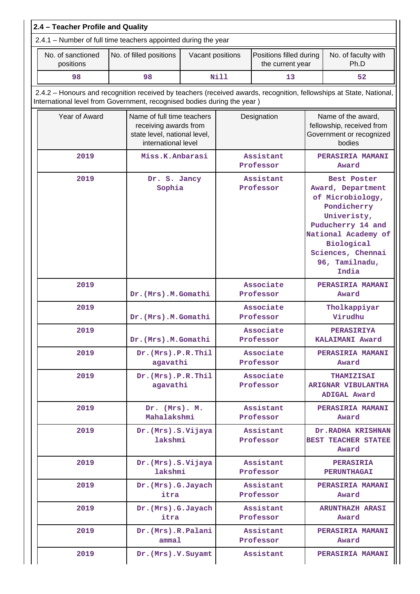| 2.4 - Teacher Profile and Quality                                                                                                                                                              |                                  |                                                                                                                           |                        |                                             |                                                                                                                                                                                              |                                                                                       |  |  |  |
|------------------------------------------------------------------------------------------------------------------------------------------------------------------------------------------------|----------------------------------|---------------------------------------------------------------------------------------------------------------------------|------------------------|---------------------------------------------|----------------------------------------------------------------------------------------------------------------------------------------------------------------------------------------------|---------------------------------------------------------------------------------------|--|--|--|
| 2.4.1 – Number of full time teachers appointed during the year                                                                                                                                 |                                  |                                                                                                                           |                        |                                             |                                                                                                                                                                                              |                                                                                       |  |  |  |
| No. of sanctioned<br>positions                                                                                                                                                                 | No. of filled positions          | Vacant positions                                                                                                          |                        | Positions filled during<br>the current year |                                                                                                                                                                                              | No. of faculty with<br>Ph.D                                                           |  |  |  |
| 98                                                                                                                                                                                             | 98                               |                                                                                                                           | <b>Nill</b>            | 13                                          |                                                                                                                                                                                              | 52                                                                                    |  |  |  |
| 2.4.2 - Honours and recognition received by teachers (received awards, recognition, fellowships at State, National,<br>International level from Government, recognised bodies during the year) |                                  |                                                                                                                           |                        |                                             |                                                                                                                                                                                              |                                                                                       |  |  |  |
| Year of Award                                                                                                                                                                                  |                                  | Name of full time teachers<br>Designation<br>receiving awards from<br>state level, national level,<br>international level |                        |                                             |                                                                                                                                                                                              | Name of the award,<br>fellowship, received from<br>Government or recognized<br>bodies |  |  |  |
| 2019                                                                                                                                                                                           | Miss.K.Anbarasi                  |                                                                                                                           |                        | Assistant<br>Professor                      |                                                                                                                                                                                              | PERASIRIA MAMANI<br>Award                                                             |  |  |  |
| 2019                                                                                                                                                                                           | Dr. S. Jancy<br>Sophia           |                                                                                                                           | Assistant<br>Professor |                                             | Best Poster<br>Award, Department<br>of Microbiology,<br>Pondicherry<br>Univeristy,<br>Puducherry 14 and<br>National Academy of<br>Biological<br>Sciences, Chennai<br>96, Tamilnadu,<br>India |                                                                                       |  |  |  |
| 2019                                                                                                                                                                                           | Dr. (Mrs).M. Gomathi             |                                                                                                                           |                        | Associate<br>Professor                      |                                                                                                                                                                                              | PERASIRIA MAMANI<br>Award                                                             |  |  |  |
| 2019                                                                                                                                                                                           | Dr. (Mrs).M. Gomathi             |                                                                                                                           |                        | Associate<br>Professor                      |                                                                                                                                                                                              | Tholkappiyar<br>Virudhu                                                               |  |  |  |
| 2019                                                                                                                                                                                           | Dr. (Mrs).M. Gomathi             |                                                                                                                           |                        | Associate<br>Professor                      |                                                                                                                                                                                              | <b>PERASIRIYA</b><br>KALAIMANI Award                                                  |  |  |  |
| 2019                                                                                                                                                                                           | Dr. (Mrs). P.R. Thil<br>agavathi |                                                                                                                           |                        | Associate<br>Professor                      |                                                                                                                                                                                              | <b>PERASIRIA MAMANI</b><br>Award                                                      |  |  |  |
| 2019                                                                                                                                                                                           | Dr. (Mrs). P.R. Thil<br>agavathi |                                                                                                                           |                        | Associate<br>Professor                      |                                                                                                                                                                                              | <b>THAMIZISAI</b><br><b>ARIGNAR VIBULANTHA</b><br>ADIGAL Award                        |  |  |  |
| 2019                                                                                                                                                                                           | Dr. (Mrs). M.<br>Mahalakshmi     |                                                                                                                           |                        | Assistant<br>Professor                      |                                                                                                                                                                                              | PERASIRIA MAMANI<br>Award                                                             |  |  |  |
| 2019                                                                                                                                                                                           | Dr. (Mrs). S. Vijaya<br>lakshmi  |                                                                                                                           | Assistant<br>Professor |                                             |                                                                                                                                                                                              | Dr.RADHA KRISHNAN<br><b>BEST TEACHER STATEE</b><br>Award                              |  |  |  |
| 2019                                                                                                                                                                                           | Dr. (Mrs). S. Vijaya<br>lakshmi  |                                                                                                                           | Assistant<br>Professor |                                             |                                                                                                                                                                                              | <b>PERASIRIA</b><br><b>PERUNTHAGAI</b>                                                |  |  |  |
| 2019                                                                                                                                                                                           | Dr. (Mrs). G. Jayach<br>itra     |                                                                                                                           | Assistant<br>Professor |                                             |                                                                                                                                                                                              | PERASIRIA MAMANI<br>Award                                                             |  |  |  |
| 2019                                                                                                                                                                                           | Dr. (Mrs). G. Jayach<br>itra     |                                                                                                                           |                        | Assistant<br>Professor                      |                                                                                                                                                                                              | <b>ARUNTHAZH ARASI</b><br>Award                                                       |  |  |  |
| 2019                                                                                                                                                                                           |                                  | Dr. (Mrs).R. Palani<br>amma1                                                                                              |                        | Assistant<br>Professor                      |                                                                                                                                                                                              | <b>PERASIRIA MAMANI</b><br>Award                                                      |  |  |  |
| 2019                                                                                                                                                                                           | Dr. (Mrs). V. Suyamt             |                                                                                                                           | Assistant              |                                             |                                                                                                                                                                                              | PERASIRIA MAMANI                                                                      |  |  |  |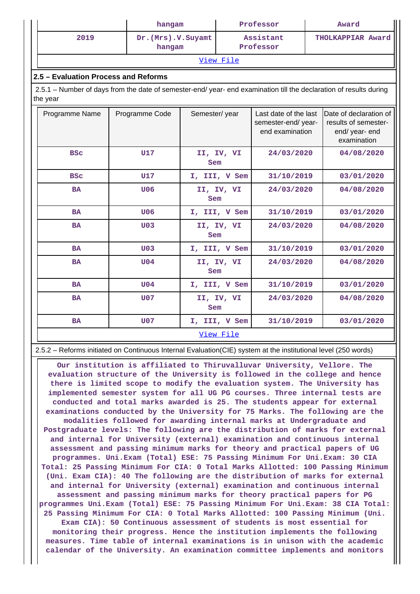|                                                                                                                              | hangam                         | Professor              | Award             |  |  |  |  |  |
|------------------------------------------------------------------------------------------------------------------------------|--------------------------------|------------------------|-------------------|--|--|--|--|--|
| 2019                                                                                                                         | Dr. (Mrs). V. Suyamt<br>hangam | Assistant<br>Professor | THOLKAPPIAR Award |  |  |  |  |  |
| View File                                                                                                                    |                                |                        |                   |  |  |  |  |  |
| 2.5 – Evaluation Process and Reforms                                                                                         |                                |                        |                   |  |  |  |  |  |
| 2.5.1 – Number of days from the date of semester-end/year-end examination till the declaration of results during<br>the year |                                |                        |                   |  |  |  |  |  |

| Programme Name | Programme Code   | Semester/year     | Last date of the last<br>semester-end/year-<br>end examination | Date of declaration of<br>results of semester-<br>end/ year- end<br>examination |  |  |  |  |  |
|----------------|------------------|-------------------|----------------------------------------------------------------|---------------------------------------------------------------------------------|--|--|--|--|--|
| <b>BSC</b>     | U17              | II, IV, VI<br>Sem | 24/03/2020                                                     | 04/08/2020                                                                      |  |  |  |  |  |
| <b>BSC</b>     | U17              | I, III, V Sem     | 31/10/2019                                                     | 03/01/2020                                                                      |  |  |  |  |  |
| <b>BA</b>      | U06              | II, IV, VI<br>Sem | 24/03/2020                                                     | 04/08/2020                                                                      |  |  |  |  |  |
| <b>BA</b>      | U06              | I, III, V Sem     | 31/10/2019                                                     | 03/01/2020                                                                      |  |  |  |  |  |
| <b>BA</b>      | U <sub>0.3</sub> | II, IV, VI<br>Sem | 24/03/2020                                                     | 04/08/2020                                                                      |  |  |  |  |  |
| <b>BA</b>      | U <sub>0</sub> 3 | I, III, V Sem     | 31/10/2019                                                     | 03/01/2020                                                                      |  |  |  |  |  |
| <b>BA</b>      | U <sub>04</sub>  | II, IV, VI<br>Sem | 24/03/2020                                                     | 04/08/2020                                                                      |  |  |  |  |  |
| <b>BA</b>      | U <sub>04</sub>  | I, III, V Sem     | 31/10/2019                                                     | 03/01/2020                                                                      |  |  |  |  |  |
| <b>BA</b>      | <b>U07</b>       | II, IV, VI<br>Sem | 24/03/2020                                                     | 04/08/2020                                                                      |  |  |  |  |  |
| <b>BA</b>      | U <sub>0</sub> 7 | I, III, V Sem     | 31/10/2019                                                     | 03/01/2020                                                                      |  |  |  |  |  |
|                | <u>View File</u> |                   |                                                                |                                                                                 |  |  |  |  |  |

2.5.2 – Reforms initiated on Continuous Internal Evaluation(CIE) system at the institutional level (250 words)

 **Our institution is affiliated to Thiruvalluvar University, Vellore. The evaluation structure of the University is followed in the college and hence there is limited scope to modify the evaluation system. The University has implemented semester system for all UG PG courses. Three internal tests are conducted and total marks awarded is 25. The students appear for external examinations conducted by the University for 75 Marks. The following are the modalities followed for awarding internal marks at Undergraduate and Postgraduate levels: The following are the distribution of marks for external and internal for University (external) examination and continuous internal assessment and passing minimum marks for theory and practical papers of UG programmes. Uni.Exam (Total) ESE: 75 Passing Minimum For Uni.Exam: 30 CIA Total: 25 Passing Minimum For CIA: 0 Total Marks Allotted: 100 Passing Minimum (Uni. Exam CIA): 40 The following are the distribution of marks for external and internal for University (external) examination and continuous internal assessment and passing minimum marks for theory practical papers for PG programmes Uni.Exam (Total) ESE: 75 Passing Minimum For Uni.Exam: 38 CIA Total: 25 Passing Minimum For CIA: 0 Total Marks Allotted: 100 Passing Minimum (Uni. Exam CIA): 50 Continuous assessment of students is most essential for monitoring their progress. Hence the institution implements the following measures. Time table of internal examinations is in unison with the academic calendar of the University. An examination committee implements and monitors**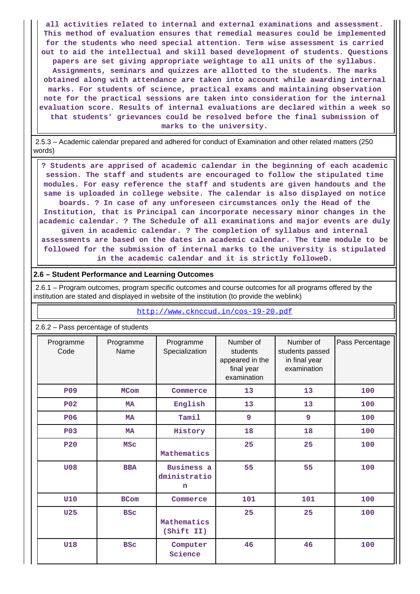**all activities related to internal and external examinations and assessment. This method of evaluation ensures that remedial measures could be implemented for the students who need special attention. Term wise assessment is carried out to aid the intellectual and skill based development of students. Questions papers are set giving appropriate weightage to all units of the syllabus. Assignments, seminars and quizzes are allotted to the students. The marks obtained along with attendance are taken into account while awarding internal marks. For students of science, practical exams and maintaining observation note for the practical sessions are taken into consideration for the internal evaluation score. Results of internal evaluations are declared within a week so that students' grievances could be resolved before the final submission of marks to the university.**

 2.5.3 – Academic calendar prepared and adhered for conduct of Examination and other related matters (250 words)

 **? Students are apprised of academic calendar in the beginning of each academic session. The staff and students are encouraged to follow the stipulated time modules. For easy reference the staff and students are given handouts and the same is uploaded in college website. The calendar is also displayed on notice boards. ? In case of any unforeseen circumstances only the Head of the Institution, that is Principal can incorporate necessary minor changes in the academic calendar. ? The Schedule of all examinations and major events are duly given in academic calendar. ? The completion of syllabus and internal assessments are based on the dates in academic calendar. The time module to be followed for the submission of internal marks to the university is stipulated in the academic calendar and it is strictly followeD.**

#### **2.6 – Student Performance and Learning Outcomes**

 2.6.1 – Program outcomes, program specific outcomes and course outcomes for all programs offered by the institution are stated and displayed in website of the institution (to provide the weblink)

<http://www.cknccud.in/cos-19-20.pdf>

| 2.6.2 - Pass percentage of students |                                                  |                                           |                                                                       |                                                              |                 |  |  |  |
|-------------------------------------|--------------------------------------------------|-------------------------------------------|-----------------------------------------------------------------------|--------------------------------------------------------------|-----------------|--|--|--|
| Programme<br>Code                   | Programme<br>Programme<br>Name<br>Specialization |                                           | Number of<br>students<br>appeared in the<br>final year<br>examination | Number of<br>students passed<br>in final year<br>examination | Pass Percentage |  |  |  |
| <b>P09</b>                          | <b>MCom</b>                                      | Commerce                                  | 13                                                                    | 13                                                           | 100             |  |  |  |
| P <sub>0</sub> 2                    | <b>MA</b>                                        | English                                   | 13                                                                    | 13                                                           | 100             |  |  |  |
| <b>P06</b>                          | <b>MA</b>                                        | Tamil                                     | 9                                                                     | 9                                                            | 100             |  |  |  |
| P <sub>03</sub>                     | <b>MA</b>                                        | History                                   | 18                                                                    | 18                                                           | 100             |  |  |  |
| <b>P20</b>                          | <b>MSC</b>                                       | Mathematics                               | 25                                                                    | 25                                                           | 100             |  |  |  |
| <b>U08</b>                          | <b>BBA</b>                                       | Business a<br>dministratio<br>$\mathbf n$ | 55                                                                    | 55                                                           | 100             |  |  |  |
| <b>U10</b>                          | <b>BCom</b>                                      | Commerce                                  | 101                                                                   | 101                                                          | 100             |  |  |  |
| U <sub>25</sub>                     | <b>BSC</b><br>Mathematics<br>(Shift II)          |                                           | 25                                                                    | 25                                                           | 100             |  |  |  |
| <b>U18</b>                          | <b>BSC</b>                                       | Computer<br>Science                       | 46                                                                    | 46                                                           | 100             |  |  |  |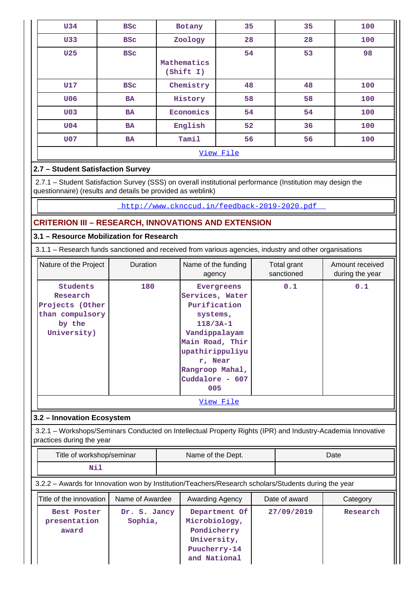| <b>U34</b>         | <b>BSC</b> | Botany                            | 35 | 35  | 100 |  |  |
|--------------------|------------|-----------------------------------|----|-----|-----|--|--|
| <b>U33</b>         | <b>BSC</b> | Zoology                           | 28 | 28  | 100 |  |  |
| U <sub>25</sub>    | <b>BSC</b> | Mathematics<br>$(\text{Shift I})$ | 54 | 53  | 98  |  |  |
| U17                | <b>BSC</b> | Chemistry                         | 48 | 48  | 100 |  |  |
| <b>U06</b>         | <b>BA</b>  | History                           | 58 | 58  | 100 |  |  |
| U <sub>0</sub> 3   | <b>BA</b>  | Economics                         | 54 | 54  | 100 |  |  |
| U04                | <b>BA</b>  | English                           | 52 | 36  | 100 |  |  |
| Tamil<br>U07<br>BA |            | 56                                | 56 | 100 |     |  |  |
| View File          |            |                                   |    |     |     |  |  |

# **2.7 – Student Satisfaction Survey**

 2.7.1 – Student Satisfaction Survey (SSS) on overall institutional performance (Institution may design the questionnaire) (results and details be provided as weblink)

<http://www.cknccud.in/feedback-2019-2020.pdf>

# **CRITERION III – RESEARCH, INNOVATIONS AND EXTENSION**

# **3.1 – Resource Mobilization for Research**

3.1.1 – Research funds sanctioned and received from various agencies, industry and other organisations

| Nature of the Project                                                                      | Duration | Name of the funding<br>agency                                                                                                                                                          | Total grant<br>sanctioned | Amount received<br>during the year |  |  |
|--------------------------------------------------------------------------------------------|----------|----------------------------------------------------------------------------------------------------------------------------------------------------------------------------------------|---------------------------|------------------------------------|--|--|
| <b>Students</b><br>Research<br>Projects (Other<br>than compulsory<br>by the<br>University) | 180      | Evergreens<br>Services, Water<br>Purification<br>systems,<br>$118/3A-1$<br>Vandippalayam<br>Main Road, Thir<br>upathirippuliyu<br>r, Near<br>Rangroop Mahal,<br>Cuddalore - 607<br>005 | 0.1                       | 0.1                                |  |  |
| <u>View File</u>                                                                           |          |                                                                                                                                                                                        |                           |                                    |  |  |

### **3.2 – Innovation Ecosystem**

 3.2.1 – Workshops/Seminars Conducted on Intellectual Property Rights (IPR) and Industry-Academia Innovative practices during the year

| Title of workshop/seminar | Name of the Dept. | Date: |
|---------------------------|-------------------|-------|
| NT-                       |                   |       |

# 3.2.2 – Awards for Innovation won by Institution/Teachers/Research scholars/Students during the year

| Title of the innovation              | Name of Awardee         | Awarding Agency                                                                              | Date of award | Category |
|--------------------------------------|-------------------------|----------------------------------------------------------------------------------------------|---------------|----------|
| Best Poster<br>presentation<br>award | Dr. S. Jancy<br>Sophia, | Department Of<br>Microbiology,<br>Pondicherry<br>University,<br>Puucherry-14<br>and National | 27/09/2019    | Research |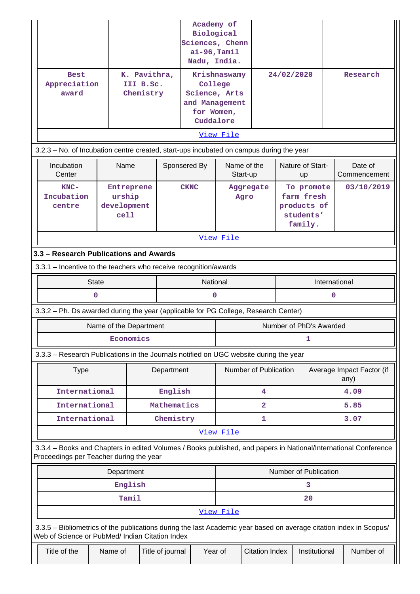| <b>Best</b><br>Appreciation<br>award                                                                                                                                    |                        | K. Pavithra,<br>III B.Sc.<br>Chemistry      |                  | Academy of<br>Biological<br>Sciences, Chenn<br>$ai-96, Tami1$<br>Nadu, India.<br>College<br>Science, Arts<br>and Management<br>for Women, | Krishnaswamy                        |                       |                                                                 | 24/02/2020                        |            | Research                |
|-------------------------------------------------------------------------------------------------------------------------------------------------------------------------|------------------------|---------------------------------------------|------------------|-------------------------------------------------------------------------------------------------------------------------------------------|-------------------------------------|-----------------------|-----------------------------------------------------------------|-----------------------------------|------------|-------------------------|
|                                                                                                                                                                         |                        |                                             |                  | Cuddalore                                                                                                                                 |                                     |                       |                                                                 |                                   |            |                         |
|                                                                                                                                                                         |                        |                                             |                  |                                                                                                                                           | View File                           |                       |                                                                 |                                   |            |                         |
| 3.2.3 - No. of Incubation centre created, start-ups incubated on campus during the year<br>Incubation<br>Center                                                         |                        | Name                                        | Sponsered By     |                                                                                                                                           |                                     | Name of the           |                                                                 | Nature of Start-                  |            | Date of<br>Commencement |
| $KNC-$<br>Incubation<br>centre                                                                                                                                          |                        | Entreprene<br>urship<br>development<br>cell |                  | <b>CKNC</b>                                                                                                                               | Start-up<br>up<br>Aggregate<br>Agro |                       | To promote<br>farm fresh<br>products of<br>students'<br>family. |                                   | 03/10/2019 |                         |
|                                                                                                                                                                         |                        |                                             |                  |                                                                                                                                           | View File                           |                       |                                                                 |                                   |            |                         |
| 3.3 - Research Publications and Awards                                                                                                                                  |                        |                                             |                  |                                                                                                                                           |                                     |                       |                                                                 |                                   |            |                         |
| 3.3.1 - Incentive to the teachers who receive recognition/awards                                                                                                        |                        |                                             |                  |                                                                                                                                           |                                     |                       |                                                                 |                                   |            |                         |
|                                                                                                                                                                         | <b>State</b>           |                                             |                  | National                                                                                                                                  | International                       |                       |                                                                 |                                   |            |                         |
|                                                                                                                                                                         | $\mathbf 0$            |                                             |                  |                                                                                                                                           | 0<br>$\mathbf 0$                    |                       |                                                                 |                                   |            |                         |
| 3.3.2 - Ph. Ds awarded during the year (applicable for PG College, Research Center)                                                                                     |                        |                                             |                  |                                                                                                                                           |                                     |                       |                                                                 |                                   |            |                         |
|                                                                                                                                                                         | Name of the Department |                                             |                  |                                                                                                                                           |                                     |                       |                                                                 | Number of PhD's Awarded           |            |                         |
|                                                                                                                                                                         |                        | Economics                                   |                  |                                                                                                                                           |                                     |                       |                                                                 | 1                                 |            |                         |
| 3.3.3 - Research Publications in the Journals notified on UGC website during the year                                                                                   |                        |                                             |                  |                                                                                                                                           |                                     |                       |                                                                 |                                   |            |                         |
| <b>Type</b>                                                                                                                                                             |                        |                                             | Department       | Number of Publication                                                                                                                     |                                     |                       |                                                                 | Average Impact Factor (if<br>any) |            |                         |
| International                                                                                                                                                           |                        |                                             | English          |                                                                                                                                           |                                     | 4                     |                                                                 |                                   |            | 4.09                    |
| International                                                                                                                                                           |                        |                                             | Mathematics      |                                                                                                                                           |                                     | $\mathbf{2}$          |                                                                 |                                   |            | 5.85                    |
| International                                                                                                                                                           |                        |                                             | Chemistry        |                                                                                                                                           |                                     | 1                     |                                                                 |                                   |            | 3.07                    |
| View File<br>3.3.4 - Books and Chapters in edited Volumes / Books published, and papers in National/International Conference<br>Proceedings per Teacher during the year |                        |                                             |                  |                                                                                                                                           |                                     |                       |                                                                 |                                   |            |                         |
|                                                                                                                                                                         |                        | Department                                  |                  |                                                                                                                                           |                                     |                       |                                                                 | Number of Publication             |            |                         |
|                                                                                                                                                                         | English                |                                             |                  |                                                                                                                                           |                                     |                       |                                                                 | з                                 |            |                         |
|                                                                                                                                                                         |                        | Tamil                                       |                  |                                                                                                                                           |                                     |                       |                                                                 | 20                                |            |                         |
|                                                                                                                                                                         |                        |                                             |                  |                                                                                                                                           | View File                           |                       |                                                                 |                                   |            |                         |
| 3.3.5 - Bibliometrics of the publications during the last Academic year based on average citation index in Scopus/<br>Web of Science or PubMed/ Indian Citation Index   |                        |                                             |                  |                                                                                                                                           |                                     |                       |                                                                 |                                   |            |                         |
| Title of the                                                                                                                                                            | Name of                |                                             | Title of journal | Year of                                                                                                                                   |                                     | <b>Citation Index</b> |                                                                 | Institutional                     |            | Number of               |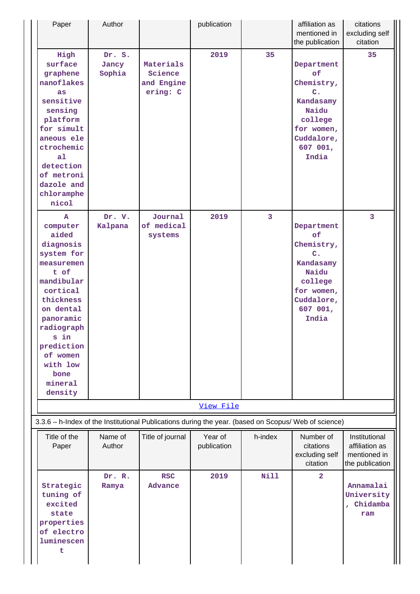| Paper                                                                                                                                                                                                                              | Author                    |                                                | publication            |                         | affiliation as<br>mentioned in<br>the publication                                                                                  | citations<br>excluding self<br>citation                            |
|------------------------------------------------------------------------------------------------------------------------------------------------------------------------------------------------------------------------------------|---------------------------|------------------------------------------------|------------------------|-------------------------|------------------------------------------------------------------------------------------------------------------------------------|--------------------------------------------------------------------|
| High<br>surface<br>graphene<br>nanoflakes<br>as<br>sensitive<br>sensing<br>platform<br>for simult<br>aneous ele<br>ctrochemic<br>a <sub>1</sub><br>detection<br>of metroni<br>dazole and<br>chloramphe<br>nicol                    | Dr. S.<br>Jancy<br>Sophia | Materials<br>Science<br>and Engine<br>ering: C | 2019                   | 35                      | Department<br>of<br>Chemistry,<br>$\mathbf{C}$ .<br>Kandasamy<br>Naidu<br>college<br>for women,<br>Cuddalore,<br>607 001,<br>India | 35                                                                 |
| A<br>computer<br>aided<br>diagnosis<br>system for<br>measuremen<br>t of<br>mandibular<br>cortical<br>thickness<br>on dental<br>panoramic<br>radiograph<br>s in<br>prediction<br>of women<br>with low<br>bone<br>mineral<br>density | Dr. V.<br>Kalpana         | Journal<br>of medical<br>systems               | 2019                   | $\overline{\mathbf{3}}$ | Department<br>of<br>Chemistry,<br>C <sub>1</sub><br>Kandasamy<br>Naidu<br>college<br>for women,<br>Cuddalore,<br>607 001,<br>India | $\overline{3}$                                                     |
|                                                                                                                                                                                                                                    |                           |                                                | View File              |                         |                                                                                                                                    |                                                                    |
| 3.3.6 - h-Index of the Institutional Publications during the year. (based on Scopus/ Web of science)                                                                                                                               |                           |                                                |                        |                         |                                                                                                                                    |                                                                    |
| Title of the<br>Paper                                                                                                                                                                                                              | Name of<br>Author         | Title of journal                               | Year of<br>publication | h-index                 | Number of<br>citations<br>excluding self<br>citation                                                                               | Institutional<br>affiliation as<br>mentioned in<br>the publication |
| Strategic<br>tuning of<br>excited<br>state<br>properties<br>of electro<br>luminescen<br>t                                                                                                                                          | Dr. R.<br>Ramya           | <b>RSC</b><br><b>Advance</b>                   | 2019                   | Nill                    | $\overline{a}$                                                                                                                     | Annamalai<br>University<br>, Chidamba<br>ram                       |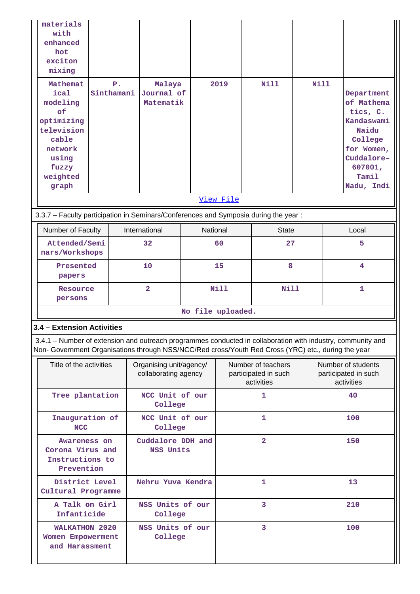| materials<br>with<br>enhanced<br>hot<br>exciton<br>mixing<br>Mathemat<br>$P$ .<br>ical<br>Sinthamani<br>modeling<br>of<br>optimizing<br>television<br>cable<br>network<br>using<br>fuzzy<br>weighted<br>graph      | Malaya<br>Journal of<br>Matematik |                                                 | 2019                    | <b>Nill</b>                                              | <b>Nill</b> |                | Department<br>of Mathema<br>tics, C.<br>Kandaswami<br>Naidu<br>College<br>for Women,<br>Cuddalore-<br>607001,<br>Tamil<br>Nadu, Indi |
|--------------------------------------------------------------------------------------------------------------------------------------------------------------------------------------------------------------------|-----------------------------------|-------------------------------------------------|-------------------------|----------------------------------------------------------|-------------|----------------|--------------------------------------------------------------------------------------------------------------------------------------|
|                                                                                                                                                                                                                    |                                   |                                                 | View File               |                                                          |             |                |                                                                                                                                      |
| 3.3.7 - Faculty participation in Seminars/Conferences and Symposia during the year:                                                                                                                                |                                   |                                                 |                         |                                                          |             |                |                                                                                                                                      |
| Number of Faculty                                                                                                                                                                                                  | International                     | National                                        |                         | <b>State</b>                                             |             |                | Local                                                                                                                                |
| Attended/Semi<br>nars/Workshops                                                                                                                                                                                    | 32                                | 60                                              |                         | 27                                                       |             |                | 5                                                                                                                                    |
| Presented<br>papers                                                                                                                                                                                                | 10                                | 15                                              |                         | 8                                                        |             | $\overline{4}$ |                                                                                                                                      |
| Resource<br>persons                                                                                                                                                                                                | $\overline{\mathbf{2}}$           | <b>Nill</b>                                     |                         | <b>Nill</b>                                              |             |                | $\mathbf{1}$                                                                                                                         |
|                                                                                                                                                                                                                    |                                   |                                                 | No file uploaded.       |                                                          |             |                |                                                                                                                                      |
| 3.4 - Extension Activities                                                                                                                                                                                         |                                   |                                                 |                         |                                                          |             |                |                                                                                                                                      |
| 3.4.1 – Number of extension and outreach programmes conducted in collaboration with industry, community and<br>Non- Government Organisations through NSS/NCC/Red cross/Youth Red Cross (YRC) etc., during the year |                                   |                                                 |                         |                                                          |             |                |                                                                                                                                      |
| Title of the activities                                                                                                                                                                                            |                                   | Organising unit/agency/<br>collaborating agency |                         | Number of teachers<br>participated in such<br>activities |             |                | Number of students<br>participated in such<br>activities                                                                             |
| Tree plantation                                                                                                                                                                                                    | NCC Unit of our<br>College        |                                                 |                         | $\mathbf{1}$                                             |             |                | 40                                                                                                                                   |
| Inauguration of<br><b>NCC</b>                                                                                                                                                                                      | NCC Unit of our<br>College        |                                                 |                         | 1                                                        |             |                | 100                                                                                                                                  |
| Cuddalore DDH and<br>Awareness on<br>Corona Virus and<br>NSS Units<br>Instructions to<br>Prevention                                                                                                                |                                   |                                                 | $\overline{\mathbf{2}}$ |                                                          |             |                | 150                                                                                                                                  |
| District Level<br>Cultural Programme                                                                                                                                                                               | Nehru Yuva Kendra                 |                                                 |                         | $\mathbf{1}$                                             |             |                | 13                                                                                                                                   |
| A Talk on Girl<br>Infanticide                                                                                                                                                                                      | NSS Units of our<br>College       |                                                 |                         | 3                                                        |             |                | 210                                                                                                                                  |
| WALKATHON 2020<br><b>Women Empowerment</b><br>and Harassment                                                                                                                                                       | NSS Units of our<br>College       |                                                 |                         | 3                                                        |             |                | 100                                                                                                                                  |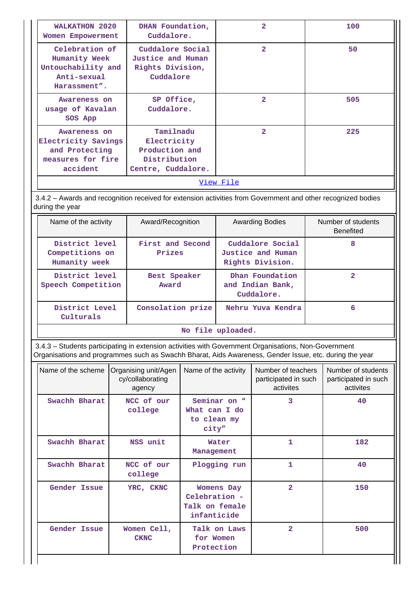| WALKATHON 2020<br>Women Empowerment                                                                                                                                        | DHAN Foundation,<br>Cuddalore.                                         | 2              | 100 |
|----------------------------------------------------------------------------------------------------------------------------------------------------------------------------|------------------------------------------------------------------------|----------------|-----|
| Celebration of<br>Humanity Week<br>Untouchability and<br>Anti-sexual<br>Harassment".                                                                                       | Cuddalore Social<br>Justice and Human<br>Rights Division,<br>Cuddalore |                | 50  |
| SP Office,<br>Awareness on<br>Cuddalore.<br>usage of Kavalan<br>SOS App                                                                                                    |                                                                        | $\mathbf{z}$   | 505 |
| Tamilnadu<br>Awareness on<br>Electricity Savings<br>Electricity<br>Production and<br>and Protecting<br>Distribution<br>measures for fire<br>accident<br>Centre, Cuddalore. |                                                                        | $\overline{2}$ | 225 |

[View File](https://assessmentonline.naac.gov.in/public/Postacc/Extension/1671_Extension_1640857073.xlsx)

 3.4.2 – Awards and recognition received for extension activities from Government and other recognized bodies during the year

| Name of the activity                               | Award/Recognition          | <b>Awarding Bodies</b>                                    | Number of students<br><b>Benefited</b> |
|----------------------------------------------------|----------------------------|-----------------------------------------------------------|----------------------------------------|
| District level<br>Competitions on<br>Humanity week | First and Second<br>Prizes | Cuddalore Social<br>Justice and Human<br>Rights Division. | 8                                      |
| District level<br>Speech Competition               | Best Speaker<br>Award      | Dhan Foundation<br>and Indian Bank,<br>Cuddalore.         | 2                                      |
| District Level<br>Culturals                        | Consolation prize          | Nehru Yuva Kendra                                         | 6                                      |
|                                                    |                            | No file uploaded.                                         |                                        |

 3.4.3 – Students participating in extension activities with Government Organisations, Non-Government Organisations and programmes such as Swachh Bharat, Aids Awareness, Gender Issue, etc. during the year

| Name of the scheme | Organising unit/Agen<br>cy/collaborating<br>agency | Name of the activity                                         | Number of teachers<br>participated in such<br>activites | Number of students<br>participated in such<br>activites |
|--------------------|----------------------------------------------------|--------------------------------------------------------------|---------------------------------------------------------|---------------------------------------------------------|
| Swachh Bharat      | NCC of our<br>college                              | Seminar on "<br>What can I do<br>to clean my<br>city"        | 3                                                       | 40                                                      |
| Swachh Bharat      | NSS unit                                           | Water<br>Management                                          | 1                                                       | 182                                                     |
| Swachh Bharat      | NCC of our<br>college                              | Plogging run                                                 | 1                                                       | 40                                                      |
| Gender Issue       | YRC, CKNC                                          | Womens Day<br>Celebration -<br>Talk on female<br>infanticide | $\overline{a}$                                          | 150                                                     |
| Gender Issue       | Women Cell,<br><b>CKNC</b>                         | Talk on Laws<br>for Women<br>Protection                      | $\overline{2}$                                          | 500                                                     |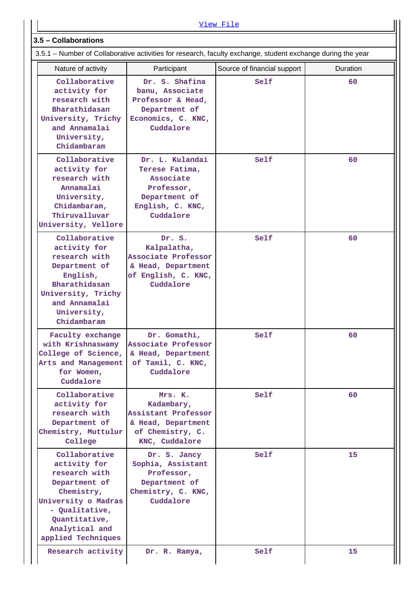|                                                                                                                                                                   |                                                                                                                | View File                   |                 |  |  |  |  |  |
|-------------------------------------------------------------------------------------------------------------------------------------------------------------------|----------------------------------------------------------------------------------------------------------------|-----------------------------|-----------------|--|--|--|--|--|
| 3.5 - Collaborations                                                                                                                                              |                                                                                                                |                             |                 |  |  |  |  |  |
| 3.5.1 – Number of Collaborative activities for research, faculty exchange, student exchange during the year                                                       |                                                                                                                |                             |                 |  |  |  |  |  |
| Nature of activity                                                                                                                                                | Participant                                                                                                    | Source of financial support | <b>Duration</b> |  |  |  |  |  |
| Collaborative<br>activity for<br>research with<br>Bharathidasan<br>University, Trichy<br>and Annamalai<br>University,<br>Chidambaram                              | Dr. S. Shafina<br>banu, Associate<br>Professor & Head,<br>Department of<br>Economics, C. KNC,<br>Cuddalore     | Self                        | 60              |  |  |  |  |  |
| Collaborative<br>activity for<br>research with<br>Annamalai<br>University,<br>Chidambaram,<br>Thiruvalluvar<br>University, Vellore                                | Dr. L. Kulandai<br>Terese Fatima,<br>Associate<br>Professor,<br>Department of<br>English, C. KNC,<br>Cuddalore | Self                        | 60              |  |  |  |  |  |
| Collaborative<br>activity for<br>research with<br>Department of<br>English,<br>Bharathidasan<br>University, Trichy<br>and Annamalai<br>University,<br>Chidambaram | Dr. S.<br>Kalpalatha,<br>Associate Professor<br>& Head, Department<br>of English, C. KNC,<br>Cuddalore         | Self                        | 60              |  |  |  |  |  |
| Faculty exchange<br>with Krishnaswamy<br>College of Science,<br>Arts and Management<br>for Women,<br>Cuddalore                                                    | Dr. Gomathi,<br>Associate Professor<br>& Head, Department<br>of Tamil, C. KNC,<br>Cuddalore                    | Self                        | 60              |  |  |  |  |  |
| Collaborative<br>activity for<br>research with<br>Department of<br>Chemistry, Muttulur<br>College                                                                 | Mrs. K.<br>Kadambary,<br>Assistant Professor<br>& Head, Department<br>of Chemistry, C.<br>KNC, Cuddalore       | Self                        | 60              |  |  |  |  |  |
| Collaborative<br>activity for<br>research with<br>Department of                                                                                                   | Dr. S. Jancy<br>Sophia, Assistant<br>Professor,<br>Department of                                               | Self                        | 15              |  |  |  |  |  |

**Chemistry, University o Madras - Qualitative, Quantitative, Analytical and applied Techniques**

**Chemistry, C. KNC, Cuddalore**

**Research activity** Dr. R. Ramya, Self 15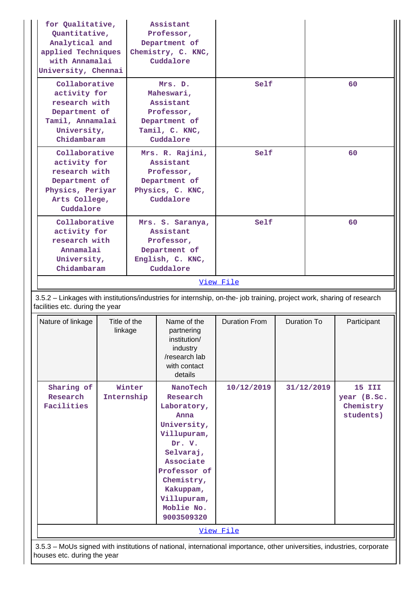| for Qualitative,<br>Quantitative,<br>Analytical and<br>applied Techniques<br>with Annamalai<br>University, Chennai                                       |                         |                                                                                                  | Assistant<br>Professor,<br>Department of<br>Chemistry, C. KNC,<br>Cuddalore                                                                                                                         |                      |             |            |                                                        |
|----------------------------------------------------------------------------------------------------------------------------------------------------------|-------------------------|--------------------------------------------------------------------------------------------------|-----------------------------------------------------------------------------------------------------------------------------------------------------------------------------------------------------|----------------------|-------------|------------|--------------------------------------------------------|
| Collaborative<br>activity for<br>research with<br>Department of<br>Tamil, Annamalai<br>University,<br>Chidambaram                                        |                         | Mrs. D.<br>Maheswari,<br>Assistant<br>Professor,<br>Department of<br>Tamil, C. KNC,<br>Cuddalore |                                                                                                                                                                                                     | Self                 |             |            | 60                                                     |
| Collaborative<br>activity for<br>research with<br>Department of<br>Physics, Periyar<br>Arts College,<br>Cuddalore                                        |                         |                                                                                                  | Mrs. R. Rajini,<br>Assistant<br>Professor,<br>Department of<br>Physics, C. KNC,<br>Cuddalore                                                                                                        | Self                 |             |            | 60                                                     |
| Collaborative<br>activity for<br>research with<br>Annamalai<br>University,<br>Chidambaram                                                                |                         |                                                                                                  | Mrs. S. Saranya,<br>Assistant<br>Professor,<br>Department of<br>English, C. KNC,<br>Cuddalore                                                                                                       | Self                 |             |            | 60                                                     |
|                                                                                                                                                          |                         |                                                                                                  |                                                                                                                                                                                                     | View File            |             |            |                                                        |
| 3.5.2 - Linkages with institutions/industries for internship, on-the- job training, project work, sharing of research<br>facilities etc. during the year |                         |                                                                                                  |                                                                                                                                                                                                     |                      |             |            |                                                        |
| Nature of linkage                                                                                                                                        | Title of the<br>linkage |                                                                                                  | Name of the<br>partnering<br>institution/<br>industry<br>/research lab<br>with contact<br>details                                                                                                   | <b>Duration From</b> | Duration To |            | Participant                                            |
| Sharing of<br>Research<br>Internship<br>Facilities                                                                                                       |                         | Winter                                                                                           | NanoTech<br>Research<br>Laboratory,<br>Anna<br>University,<br>Villupuram,<br>Dr. V.<br>Selvaraj,<br>Associate<br>Professor of<br>Chemistry,<br>Kakuppam,<br>Villupuram,<br>Moblie No.<br>9003509320 | 10/12/2019           |             | 31/12/2019 | <b>15 III</b><br>year (B.Sc.<br>Chemistry<br>students) |
|                                                                                                                                                          |                         |                                                                                                  |                                                                                                                                                                                                     | View File            |             |            |                                                        |
| 3.5.3 – MoUs signed with institutions of national, international importance, other universities, industries, corporate<br>houses etc. during the year    |                         |                                                                                                  |                                                                                                                                                                                                     |                      |             |            |                                                        |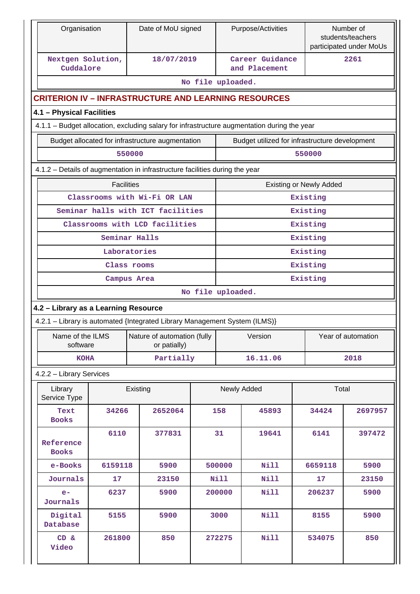| Organisation                                                                                |                   | Date of MoU signed                               |                   |                      | Purpose/Activities                             |                                | Number of<br>students/teachers<br>participated under MoUs |  |  |
|---------------------------------------------------------------------------------------------|-------------------|--------------------------------------------------|-------------------|----------------------|------------------------------------------------|--------------------------------|-----------------------------------------------------------|--|--|
| Nextgen Solution,<br>Cuddalore                                                              |                   | 18/07/2019                                       |                   |                      | Career Guidance<br>and Placement               |                                | 2261                                                      |  |  |
|                                                                                             |                   |                                                  | No file uploaded. |                      |                                                |                                |                                                           |  |  |
| <b>CRITERION IV - INFRASTRUCTURE AND LEARNING RESOURCES</b>                                 |                   |                                                  |                   |                      |                                                |                                |                                                           |  |  |
| 4.1 - Physical Facilities                                                                   |                   |                                                  |                   |                      |                                                |                                |                                                           |  |  |
| 4.1.1 - Budget allocation, excluding salary for infrastructure augmentation during the year |                   |                                                  |                   |                      |                                                |                                |                                                           |  |  |
|                                                                                             |                   | Budget allocated for infrastructure augmentation |                   |                      | Budget utilized for infrastructure development |                                |                                                           |  |  |
|                                                                                             |                   | 550000                                           |                   |                      |                                                | 550000                         |                                                           |  |  |
| 4.1.2 - Details of augmentation in infrastructure facilities during the year                |                   |                                                  |                   |                      |                                                |                                |                                                           |  |  |
|                                                                                             | <b>Facilities</b> |                                                  |                   |                      |                                                | <b>Existing or Newly Added</b> |                                                           |  |  |
|                                                                                             |                   | Classrooms with Wi-Fi OR LAN                     |                   |                      |                                                | Existing                       |                                                           |  |  |
|                                                                                             |                   | Seminar halls with ICT facilities                |                   |                      |                                                | Existing                       |                                                           |  |  |
|                                                                                             |                   | Classrooms with LCD facilities                   |                   |                      |                                                | Existing                       |                                                           |  |  |
|                                                                                             |                   | Seminar Halls                                    |                   |                      |                                                | Existing                       |                                                           |  |  |
|                                                                                             |                   | Laboratories                                     |                   |                      |                                                | Existing                       |                                                           |  |  |
|                                                                                             |                   | Class rooms<br>Campus Area                       |                   | Existing<br>Existing |                                                |                                |                                                           |  |  |
|                                                                                             |                   |                                                  | No file uploaded. |                      |                                                |                                |                                                           |  |  |
| 4.2 - Library as a Learning Resource                                                        |                   |                                                  |                   |                      |                                                |                                |                                                           |  |  |
| 4.2.1 - Library is automated {Integrated Library Management System (ILMS)}                  |                   |                                                  |                   |                      |                                                |                                |                                                           |  |  |
| Name of the ILMS                                                                            |                   | Nature of automation (fully                      |                   |                      | Version                                        |                                | Year of automation                                        |  |  |
| software                                                                                    |                   | or patially)                                     |                   |                      |                                                |                                |                                                           |  |  |
| <b>KOHA</b>                                                                                 |                   | Partially                                        |                   |                      | 16.11.06                                       |                                | 2018                                                      |  |  |
| 4.2.2 - Library Services                                                                    |                   |                                                  |                   |                      |                                                |                                |                                                           |  |  |
| Library<br>Service Type                                                                     |                   | Existing                                         |                   |                      | Newly Added                                    | Total                          |                                                           |  |  |
| Text<br><b>Books</b>                                                                        | 34266             | 2652064                                          |                   | 158                  | 45893                                          | 34424                          | 2697957                                                   |  |  |
| Reference<br><b>Books</b>                                                                   | 6110              |                                                  |                   | 31                   | 19641                                          | 6141                           | 397472                                                    |  |  |
| e-Books                                                                                     | 6159118           | 5900                                             |                   | 500000               | Nill                                           | 6659118                        | 5900                                                      |  |  |
| <b>Journals</b>                                                                             | 17                | 23150                                            |                   | <b>Nill</b>          | Nill                                           | 17                             | 23150                                                     |  |  |
| $e-$<br>Journals                                                                            | 6237              | 5900                                             |                   | 200000               | Nill                                           | 206237                         | 5900                                                      |  |  |
| Digital<br>Database                                                                         | 5155              | 5900                                             |                   | 3000                 | Nill                                           | 8155                           | 5900                                                      |  |  |
| CD &<br>Video                                                                               | 261800            | 850                                              |                   | 272275               | <b>Nill</b>                                    | 534075                         | 850                                                       |  |  |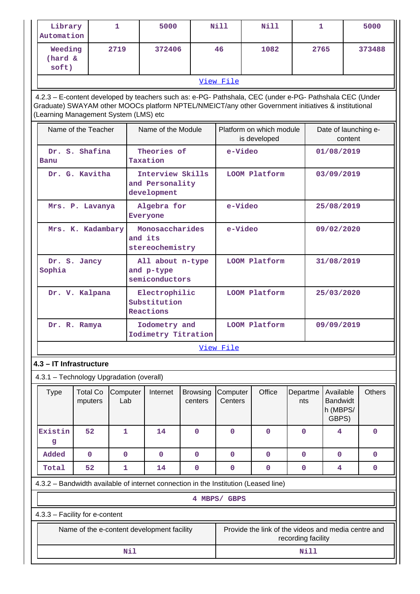| Library<br>Automation                                                                                                                                                                                                                                   |                            | 1               |                                                  | 5000                                               |                            | Nill                | <b>Nill</b>                                                                         |                    | 1                               |                                                   |  | 5000        |
|---------------------------------------------------------------------------------------------------------------------------------------------------------------------------------------------------------------------------------------------------------|----------------------------|-----------------|--------------------------------------------------|----------------------------------------------------|----------------------------|---------------------|-------------------------------------------------------------------------------------|--------------------|---------------------------------|---------------------------------------------------|--|-------------|
| Weeding<br>(hard &<br>soft)                                                                                                                                                                                                                             |                            | 2719            |                                                  | 372406                                             |                            | 46                  | 1082                                                                                |                    | 2765                            |                                                   |  | 373488      |
|                                                                                                                                                                                                                                                         |                            |                 |                                                  |                                                    |                            | View File           |                                                                                     |                    |                                 |                                                   |  |             |
| 4.2.3 - E-content developed by teachers such as: e-PG- Pathshala, CEC (under e-PG- Pathshala CEC (Under<br>Graduate) SWAYAM other MOOCs platform NPTEL/NMEICT/any other Government initiatives & institutional<br>(Learning Management System (LMS) etc |                            |                 |                                                  |                                                    |                            |                     |                                                                                     |                    |                                 |                                                   |  |             |
|                                                                                                                                                                                                                                                         | Name of the Teacher        |                 |                                                  | Name of the Module                                 |                            |                     | Platform on which module<br>is developed                                            |                    | Date of launching e-<br>content |                                                   |  |             |
| Banu                                                                                                                                                                                                                                                    | Dr. S. Shafina             |                 |                                                  | Theories of<br>Taxation                            |                            |                     | e-Video                                                                             |                    |                                 | 01/08/2019                                        |  |             |
|                                                                                                                                                                                                                                                         | Dr. G. Kavitha             |                 |                                                  | Interview Skills<br>and Personality<br>development |                            |                     | LOOM Platform                                                                       |                    |                                 | 03/09/2019                                        |  |             |
|                                                                                                                                                                                                                                                         | Mrs. P. Lavanya            |                 |                                                  | Algebra for<br>Everyone                            |                            |                     | e-Video                                                                             |                    |                                 | 25/08/2019                                        |  |             |
| Mrs. K. Kadambary                                                                                                                                                                                                                                       |                            |                 |                                                  | Monosaccharides<br>and its<br>stereochemistry      |                            |                     | e-Video                                                                             |                    |                                 | 09/02/2020                                        |  |             |
| Dr. S. Jancy<br>Sophia                                                                                                                                                                                                                                  |                            |                 | All about n-type<br>and p-type<br>semiconductors |                                                    |                            | LOOM Platform       |                                                                                     | 31/08/2019         |                                 |                                                   |  |             |
|                                                                                                                                                                                                                                                         | Dr. V. Kalpana             |                 |                                                  | Electrophilic<br>Substitution<br>Reactions         |                            | LOOM Platform       |                                                                                     |                    | 25/03/2020                      |                                                   |  |             |
| Dr. R. Ramya                                                                                                                                                                                                                                            |                            |                 |                                                  | Iodometry and<br>Iodimetry Titration               |                            | LOOM Platform       |                                                                                     |                    | 09/09/2019                      |                                                   |  |             |
|                                                                                                                                                                                                                                                         |                            |                 |                                                  |                                                    |                            | View File           |                                                                                     |                    |                                 |                                                   |  |             |
| 4.3 - IT Infrastructure                                                                                                                                                                                                                                 |                            |                 |                                                  |                                                    |                            |                     |                                                                                     |                    |                                 |                                                   |  |             |
| 4.3.1 - Technology Upgradation (overall)                                                                                                                                                                                                                |                            |                 |                                                  |                                                    |                            |                     |                                                                                     |                    |                                 |                                                   |  |             |
| <b>Type</b>                                                                                                                                                                                                                                             | <b>Total Co</b><br>mputers | Computer<br>Lab |                                                  | Internet                                           | <b>Browsing</b><br>centers | Computer<br>Centers | Office                                                                              | Departme<br>nts    |                                 | Available<br><b>Bandwidt</b><br>h (MBPS/<br>GBPS) |  | Others      |
| Existin<br>g                                                                                                                                                                                                                                            | 52                         | 1               |                                                  | 14                                                 | $\mathbf 0$                | 0                   | $\mathbf 0$                                                                         | $\mathbf 0$        |                                 | 4                                                 |  | $\mathbf 0$ |
| Added                                                                                                                                                                                                                                                   | $\mathbf 0$                | $\mathbf 0$     |                                                  | $\mathbf 0$                                        | $\mathbf 0$                | 0                   | $\mathbf 0$                                                                         | $\mathbf 0$        |                                 | $\mathbf 0$                                       |  | $\mathbf 0$ |
| Total                                                                                                                                                                                                                                                   | 52                         | 1               |                                                  | 14                                                 | $\mathbf 0$                | $\mathbf 0$         | $\mathbf 0$                                                                         | $\mathbf 0$        |                                 | 4                                                 |  | 0           |
|                                                                                                                                                                                                                                                         |                            |                 |                                                  |                                                    |                            |                     | 4.3.2 - Bandwidth available of internet connection in the Institution (Leased line) |                    |                                 |                                                   |  |             |
|                                                                                                                                                                                                                                                         |                            |                 |                                                  |                                                    |                            | 4 MBPS/ GBPS        |                                                                                     |                    |                                 |                                                   |  |             |
| 4.3.3 - Facility for e-content                                                                                                                                                                                                                          |                            |                 |                                                  |                                                    |                            |                     |                                                                                     |                    |                                 |                                                   |  |             |
|                                                                                                                                                                                                                                                         |                            |                 |                                                  | Name of the e-content development facility         |                            |                     | Provide the link of the videos and media centre and                                 | recording facility |                                 |                                                   |  |             |
| Nil                                                                                                                                                                                                                                                     |                            |                 |                                                  |                                                    |                            |                     |                                                                                     |                    | Nill                            |                                                   |  |             |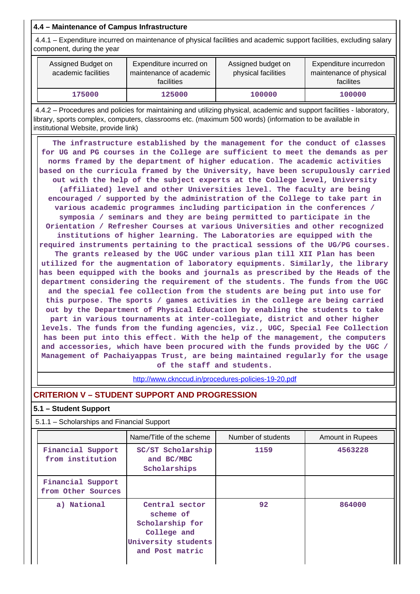# **4.4 – Maintenance of Campus Infrastructure**

 4.4.1 – Expenditure incurred on maintenance of physical facilities and academic support facilities, excluding salary component, during the year

| Assigned Budget on<br>academic facilities | Expenditure incurred on<br>maintenance of academic<br><b>facilities</b> | Assigned budget on<br>physical facilities | Expenditure incurredon<br>maintenance of physical<br>facilites |
|-------------------------------------------|-------------------------------------------------------------------------|-------------------------------------------|----------------------------------------------------------------|
| 175000                                    | 125000                                                                  | 100000                                    | 100000                                                         |

 4.4.2 – Procedures and policies for maintaining and utilizing physical, academic and support facilities - laboratory, library, sports complex, computers, classrooms etc. (maximum 500 words) (information to be available in institutional Website, provide link)

 **The infrastructure established by the management for the conduct of classes for UG and PG courses in the College are sufficient to meet the demands as per norms framed by the department of higher education. The academic activities based on the curricula framed by the University, have been scrupulously carried out with the help of the subject experts at the College level, University (affiliated) level and other Universities level. The faculty are being encouraged / supported by the administration of the College to take part in various academic programmes including participation in the conferences / symposia / seminars and they are being permitted to participate in the Orientation / Refresher Courses at various Universities and other recognized institutions of higher learning. The Laboratories are equipped with the required instruments pertaining to the practical sessions of the UG/PG courses. The grants released by the UGC under various plan till XII Plan has been utilized for the augmentation of laboratory equipments. Similarly, the library has been equipped with the books and journals as prescribed by the Heads of the department considering the requirement of the students. The funds from the UGC and the special fee collection from the students are being put into use for this purpose. The sports / games activities in the college are being carried out by the Department of Physical Education by enabling the students to take part in various tournaments at inter-collegiate, district and other higher levels. The funds from the funding agencies, viz., UGC, Special Fee Collection has been put into this effect. With the help of the management, the computers and accessories, which have been procured with the funds provided by the UGC / Management of Pachaiyappas Trust, are being maintained regularly for the usage of the staff and students.**

<http://www.cknccud.in/procedures-policies-19-20.pdf>

# **CRITERION V – STUDENT SUPPORT AND PROGRESSION**

### **5.1 – Student Support**

5.1.1 – Scholarships and Financial Support

|                                         | Name/Title of the scheme                                                                                | Number of students | <b>Amount in Rupees</b> |
|-----------------------------------------|---------------------------------------------------------------------------------------------------------|--------------------|-------------------------|
| Financial Support<br>from institution   | SC/ST Scholarship<br>and BC/MBC<br>Scholarships                                                         | 1159               | 4563228                 |
| Financial Support<br>from Other Sources |                                                                                                         |                    |                         |
| a) National                             | Central sector<br>scheme of<br>Scholarship for<br>College and<br>University students<br>and Post matric | 92                 | 864000                  |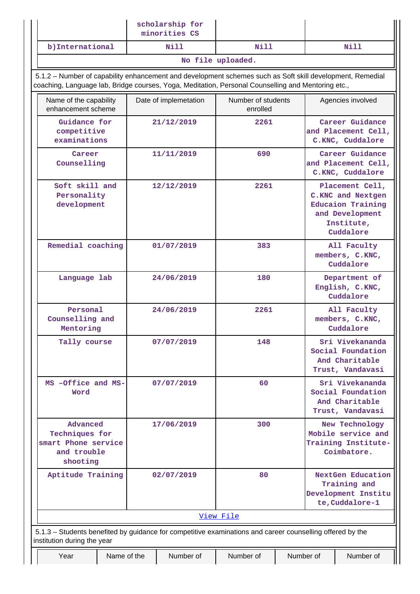|                                                                                                                                                                                                                 |             | scholarship for<br>minorities CS |                                |           |                                                                                                                |  |  |  |
|-----------------------------------------------------------------------------------------------------------------------------------------------------------------------------------------------------------------|-------------|----------------------------------|--------------------------------|-----------|----------------------------------------------------------------------------------------------------------------|--|--|--|
| b) International                                                                                                                                                                                                |             | Nill                             | Nill                           |           | Nill                                                                                                           |  |  |  |
|                                                                                                                                                                                                                 |             |                                  | No file uploaded.              |           |                                                                                                                |  |  |  |
| 5.1.2 - Number of capability enhancement and development schemes such as Soft skill development, Remedial<br>coaching, Language lab, Bridge courses, Yoga, Meditation, Personal Counselling and Mentoring etc., |             |                                  |                                |           |                                                                                                                |  |  |  |
| Name of the capability<br>enhancement scheme                                                                                                                                                                    |             | Date of implemetation            | Number of students<br>enrolled |           | Agencies involved                                                                                              |  |  |  |
| Guidance for<br>competitive<br>examinations                                                                                                                                                                     |             | 21/12/2019                       | 2261                           |           | Career Guidance<br>and Placement Cell,<br>C.KNC, Cuddalore                                                     |  |  |  |
| Career<br>Counselling                                                                                                                                                                                           |             | 11/11/2019                       | 690                            |           | Career Guidance<br>and Placement Cell,<br>C.KNC, Cuddalore                                                     |  |  |  |
| Soft skill and<br>Personality<br>development                                                                                                                                                                    |             | 12/12/2019                       | 2261                           |           | Placement Cell,<br>C.KNC and Nextgen<br><b>Educaion Training</b><br>and Development<br>Institute,<br>Cuddalore |  |  |  |
| Remedial coaching                                                                                                                                                                                               |             | 01/07/2019                       | 383                            |           | All Faculty<br>members, C.KNC,<br>Cuddalore                                                                    |  |  |  |
| Language lab                                                                                                                                                                                                    |             | 24/06/2019                       | 180                            |           | Department of<br>English, C.KNC,<br>Cuddalore                                                                  |  |  |  |
| Personal<br>Counselling and<br>Mentoring                                                                                                                                                                        |             | 24/06/2019                       | 2261                           |           | All Faculty<br>members, C.KNC,<br>Cuddalore                                                                    |  |  |  |
| Tally course                                                                                                                                                                                                    |             | 07/07/2019                       | 148                            |           | Sri Vivekananda<br>Social Foundation<br>And Charitable<br>Trust, Vandavasi                                     |  |  |  |
| MS -Office and MS-<br>Word                                                                                                                                                                                      |             | 07/07/2019                       | 60                             |           | Sri Vivekananda<br>Social Foundation<br>And Charitable<br>Trust, Vandavasi                                     |  |  |  |
| Advanced<br>Techniques for<br>smart Phone service<br>and trouble<br>shooting                                                                                                                                    |             | 17/06/2019                       | 300                            |           | New Technology<br>Mobile service and<br>Training Institute-<br>Coimbatore.                                     |  |  |  |
| Aptitude Training                                                                                                                                                                                               |             | 02/07/2019                       | 80                             |           | NextGen Education<br>Training and<br>Development Institu<br>te, Cuddalore-1                                    |  |  |  |
|                                                                                                                                                                                                                 |             |                                  | View File                      |           |                                                                                                                |  |  |  |
| 5.1.3 – Students benefited by guidance for competitive examinations and career counselling offered by the<br>institution during the year                                                                        |             |                                  |                                |           |                                                                                                                |  |  |  |
| Year                                                                                                                                                                                                            | Name of the | Number of                        | Number of                      | Number of | Number of                                                                                                      |  |  |  |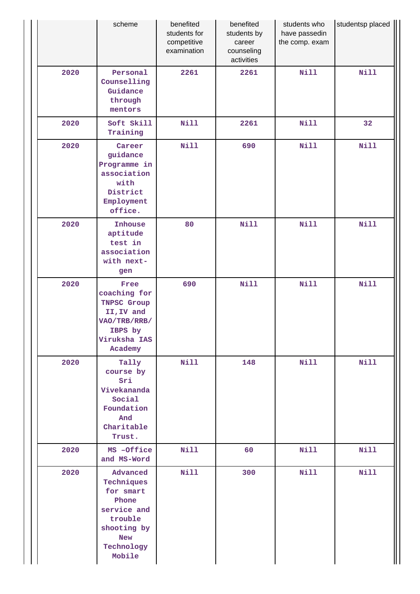|      | scheme                                                                                                                      | benefited<br>students for<br>competitive<br>examination | benefited<br>students by<br>career<br>counseling<br>activities | students who<br>have passedin<br>the comp. exam | studentsp placed |
|------|-----------------------------------------------------------------------------------------------------------------------------|---------------------------------------------------------|----------------------------------------------------------------|-------------------------------------------------|------------------|
| 2020 | Personal<br>Counselling<br>Guidance<br>through<br>mentors                                                                   | 2261                                                    | 2261                                                           | <b>Nill</b>                                     | <b>Nill</b>      |
| 2020 | Soft Skill<br>Training                                                                                                      | <b>Nill</b>                                             | 2261                                                           | <b>Nill</b>                                     | 32               |
| 2020 | Career<br>guidance<br>Programme in<br>association<br>with<br>District<br>Employment<br>office.                              | <b>Nill</b>                                             | 690                                                            | <b>Nill</b>                                     | <b>Nill</b>      |
| 2020 | Inhouse<br>aptitude<br>test in<br>association<br>with next-<br>gen                                                          | 80                                                      | <b>Nill</b>                                                    | <b>Nill</b>                                     | <b>Nill</b>      |
| 2020 | Free<br>coaching for<br><b>TNPSC Group</b><br>II, IV and<br>VAO/TRB/RRB/<br>IBPS by<br>Viruksha IAS<br>Academy              | 690                                                     | Nill                                                           | <b>Nill</b>                                     | <b>Nill</b>      |
| 2020 | Tally<br>course by<br>Sri<br>Vivekananda<br>Social<br>Foundation<br>And<br>Charitable<br>Trust.                             | <b>Nill</b>                                             | 148                                                            | <b>Nill</b>                                     | <b>Nill</b>      |
| 2020 | MS -Office<br>and MS-Word                                                                                                   | <b>Nill</b>                                             | 60                                                             | <b>Nill</b>                                     | <b>Nill</b>      |
| 2020 | Advanced<br>Techniques<br>for smart<br>Phone<br>service and<br>trouble<br>shooting by<br><b>New</b><br>Technology<br>Mobile | Nill                                                    | 300                                                            | <b>Nill</b>                                     | <b>Nill</b>      |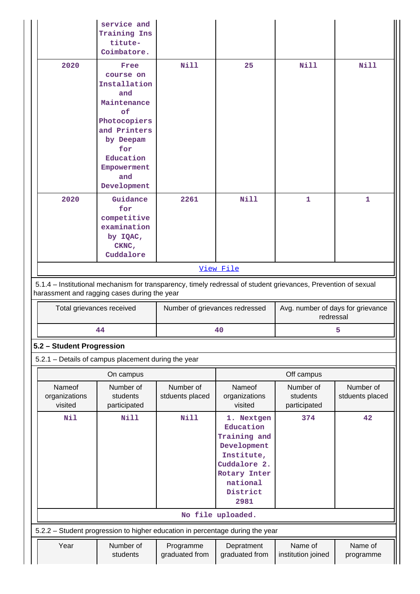|                                                                                                                                                                | service and<br>Training Ins<br>titute-<br>Coimbatore.                                                                                                               |                              |                                                                                                                                      |                                                |                              |  |  |
|----------------------------------------------------------------------------------------------------------------------------------------------------------------|---------------------------------------------------------------------------------------------------------------------------------------------------------------------|------------------------------|--------------------------------------------------------------------------------------------------------------------------------------|------------------------------------------------|------------------------------|--|--|
| 2020                                                                                                                                                           | Free<br>course on<br>Installation<br>and<br>Maintenance<br>of<br>Photocopiers<br>and Printers<br>by Deepam<br>for<br>Education<br>Empowerment<br>and<br>Development | <b>Nill</b>                  | 25                                                                                                                                   | <b>Nill</b>                                    | Nill                         |  |  |
| 2020                                                                                                                                                           | Guidance<br>for<br>competitive<br>examination<br>by IQAC,<br>CKNC,<br>Cuddalore                                                                                     | 2261                         | <b>Nill</b>                                                                                                                          | 1                                              | 1                            |  |  |
|                                                                                                                                                                |                                                                                                                                                                     |                              | View File                                                                                                                            |                                                |                              |  |  |
| 5.1.4 – Institutional mechanism for transparency, timely redressal of student grievances, Prevention of sexual<br>harassment and ragging cases during the year |                                                                                                                                                                     |                              |                                                                                                                                      |                                                |                              |  |  |
|                                                                                                                                                                |                                                                                                                                                                     |                              |                                                                                                                                      |                                                |                              |  |  |
|                                                                                                                                                                | Total grievances received                                                                                                                                           |                              | Number of grievances redressed                                                                                                       | Avg. number of days for grievance<br>redressal |                              |  |  |
|                                                                                                                                                                | 44                                                                                                                                                                  |                              | 40                                                                                                                                   |                                                | 5                            |  |  |
| 5.2 - Student Progression                                                                                                                                      |                                                                                                                                                                     |                              |                                                                                                                                      |                                                |                              |  |  |
|                                                                                                                                                                | 5.2.1 - Details of campus placement during the year                                                                                                                 |                              |                                                                                                                                      |                                                |                              |  |  |
|                                                                                                                                                                | On campus                                                                                                                                                           |                              |                                                                                                                                      | Off campus                                     |                              |  |  |
| Nameof<br>organizations<br>visited                                                                                                                             | Number of<br>students<br>participated                                                                                                                               | Number of<br>stduents placed | Nameof<br>organizations<br>visited                                                                                                   | Number of<br>students<br>participated          | Number of<br>stduents placed |  |  |
| Nil                                                                                                                                                            | Nill                                                                                                                                                                | Nill                         | 1. Nextgen<br>Education<br>Training and<br>Development<br>Institute,<br>Cuddalore 2.<br>Rotary Inter<br>national<br>District<br>2981 | 374                                            | 42                           |  |  |
|                                                                                                                                                                |                                                                                                                                                                     |                              | No file uploaded.                                                                                                                    |                                                |                              |  |  |
|                                                                                                                                                                | 5.2.2 - Student progression to higher education in percentage during the year                                                                                       |                              |                                                                                                                                      |                                                |                              |  |  |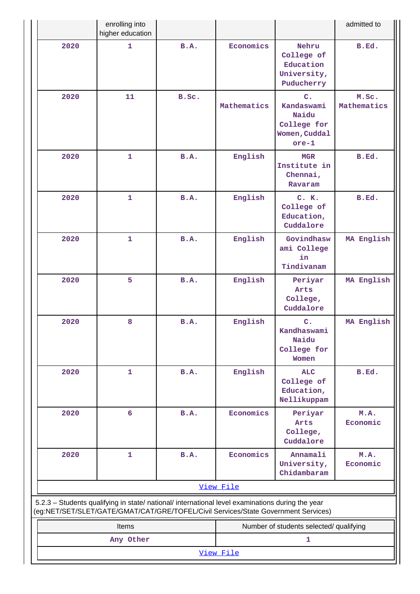|                                                                                                                                                                                        | enrolling into<br>higher education |             |             |                                                                                 | admitted to          |
|----------------------------------------------------------------------------------------------------------------------------------------------------------------------------------------|------------------------------------|-------------|-------------|---------------------------------------------------------------------------------|----------------------|
| 2020                                                                                                                                                                                   | $\mathbf{1}$                       | <b>B.A.</b> | Economics   | Nehru<br>College of<br>Education<br>University,<br>Puducherry                   | B.Ed.                |
| 2020                                                                                                                                                                                   | 11                                 | B.Sc.       | Mathematics | $C_{\bullet}$<br>Kandaswami<br>Naidu<br>College for<br>Women, Cuddal<br>$ore-1$ | M.Sc.<br>Mathematics |
| 2020                                                                                                                                                                                   | $\mathbf{1}$                       | B.A.        | English     | MGR<br>Institute in<br>Chennai,<br>Ravaram                                      | B.Ed.                |
| 2020                                                                                                                                                                                   | $\mathbf{1}$                       | <b>B.A.</b> | English     | C. K.<br>College of<br>Education,<br>Cuddalore                                  | B.Ed.                |
| 2020                                                                                                                                                                                   | $\mathbf{1}$                       | <b>B.A.</b> | English     | Govindhasw<br>ami College<br>in<br>Tindivanam                                   | MA English           |
| 2020                                                                                                                                                                                   | 5                                  | B.A.        | English     | Periyar<br>Arts<br>College,<br>Cuddalore                                        | MA English           |
| 2020                                                                                                                                                                                   | 8                                  | <b>B.A.</b> | English     | C <sub>1</sub><br>Kandhaswami<br>Naidu<br>College for<br>Women                  | MA English           |
| 2020                                                                                                                                                                                   | $\mathbf{1}$                       | B.A.        | English     | <b>ALC</b><br>College of<br>Education,<br>Nellikuppam                           | B.Ed.                |
| 2020                                                                                                                                                                                   | 6                                  | B.A.        | Economics   | Periyar<br>Arts<br>College,<br>Cuddalore                                        | M.A.<br>Economic     |
| 2020                                                                                                                                                                                   | $\mathbf{1}$                       | <b>B.A.</b> | Economics   | Annamali<br>University,<br>Chidambaram                                          | M.A.<br>Economic     |
|                                                                                                                                                                                        |                                    |             | View File   |                                                                                 |                      |
| 5.2.3 - Students qualifying in state/ national/ international level examinations during the year<br>(eg:NET/SET/SLET/GATE/GMAT/CAT/GRE/TOFEL/Civil Services/State Government Services) |                                    |             |             |                                                                                 |                      |
|                                                                                                                                                                                        | Items                              |             |             | Number of students selected/ qualifying                                         |                      |
|                                                                                                                                                                                        | Any Other                          |             |             | $\mathbf{1}$                                                                    |                      |
|                                                                                                                                                                                        |                                    |             | View File   |                                                                                 |                      |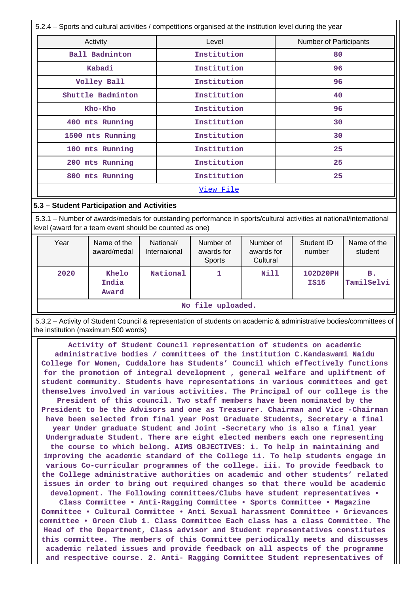| 5.2.4 – Sports and cultural activities / competitions organised at the institution level during the year |                               |    |  |  |  |
|----------------------------------------------------------------------------------------------------------|-------------------------------|----|--|--|--|
| Activity                                                                                                 | <b>Number of Participants</b> |    |  |  |  |
| Ball Badminton                                                                                           | Institution                   | 80 |  |  |  |
| Kabadi                                                                                                   | Institution                   | 96 |  |  |  |
| Volley Ball                                                                                              | Institution                   | 96 |  |  |  |
| Shuttle Badminton                                                                                        | Institution                   | 40 |  |  |  |
| Kho-Kho                                                                                                  | Institution                   | 96 |  |  |  |
| 400 mts Running                                                                                          | Institution                   | 30 |  |  |  |
| 1500 mts Running                                                                                         | Institution                   | 30 |  |  |  |
| 100 mts Running                                                                                          | Institution                   | 25 |  |  |  |
| 200 mts Running                                                                                          | Institution                   | 25 |  |  |  |
| 800 mts Running                                                                                          | Institution                   | 25 |  |  |  |
|                                                                                                          | <u>View File</u>              |    |  |  |  |

#### **5.3 – Student Participation and Activities**

 5.3.1 – Number of awards/medals for outstanding performance in sports/cultural activities at national/international level (award for a team event should be counted as one)

| Year              | Name of the<br>award/medal | National/<br>Internaional                          | Number of<br>awards for<br>Sports | Number of<br>awards for<br>Cultural | Student ID<br>number | Name of the<br>student |
|-------------------|----------------------------|----------------------------------------------------|-----------------------------------|-------------------------------------|----------------------|------------------------|
| 2020              | Khelo<br>India<br>Award    | <b>Nill</b><br>National<br>102D20PH<br><b>IS15</b> |                                   | в.<br>TamilSelvi                    |                      |                        |
| No file uploaded. |                            |                                                    |                                   |                                     |                      |                        |

 5.3.2 – Activity of Student Council & representation of students on academic & administrative bodies/committees of the institution (maximum 500 words)

 **Activity of Student Council representation of students on academic administrative bodies / committees of the institution C.Kandaswami Naidu College for Women, Cuddalore has Students' Council which effectively functions for the promotion of integral development , general welfare and upliftment of student community. Students have representations in various committees and get themselves involved in various activities. The Principal of our college is the President of this council. Two staff members have been nominated by the President to be the Advisors and one as Treasurer. Chairman and Vice -Chairman have been selected from final year Post Graduate Students, Secretary a final year Under graduate Student and Joint -Secretary who is also a final year Undergraduate Student. There are eight elected members each one representing the course to which belong. AIMS OBJECTIVES: i. To help in maintaining and improving the academic standard of the College ii. To help students engage in various Co-curricular programmes of the college. iii. To provide feedback to the College administrative authorities on academic and other students' related issues in order to bring out required changes so that there would be academic development. The Following committees/Clubs have student representatives •**

**Class Committee • Anti-Ragging Committee • Sports Committee • Magazine Committee • Cultural Committee • Anti Sexual harassment Committee • Grievances committee • Green Club 1. Class Committee Each class has a class Committee. The Head of the Department, Class advisor and Student representatives constitutes this committee. The members of this Committee periodically meets and discusses academic related issues and provide feedback on all aspects of the programme and respective course. 2. Anti- Ragging Committee Student representatives of**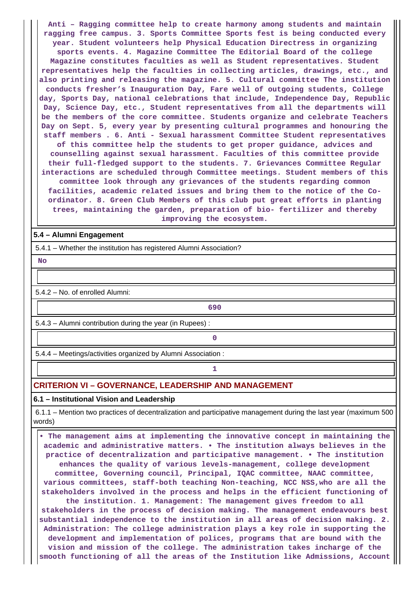**Anti – Ragging committee help to create harmony among students and maintain ragging free campus. 3. Sports Committee Sports fest is being conducted every year. Student volunteers help Physical Education Directress in organizing sports events. 4. Magazine Committee The Editorial Board of the college Magazine constitutes faculties as well as Student representatives. Student representatives help the faculties in collecting articles, drawings, etc., and also printing and releasing the magazine. 5. Cultural committee The institution conducts fresher's Inauguration Day, Fare well of outgoing students, College day, Sports Day, national celebrations that include, Independence Day, Republic Day, Science Day, etc., Student representatives from all the departments will be the members of the core committee. Students organize and celebrate Teachers Day on Sept. 5, every year by presenting cultural programmes and honouring the staff members . 6. Anti - Sexual harassment Committee Student representatives of this committee help the students to get proper guidance, advices and counselling against sexual harassment. Faculties of this committee provide their full-fledged support to the students. 7. Grievances Committee Regular interactions are scheduled through Committee meetings. Student members of this committee look through any grievances of the students regarding common facilities, academic related issues and bring them to the notice of the Coordinator. 8. Green Club Members of this club put great efforts in planting trees, maintaining the garden, preparation of bio- fertilizer and thereby improving the ecosystem.**

#### **5.4 – Alumni Engagement**

5.4.1 – Whether the institution has registered Alumni Association?

 **No**

5.4.2 – No. of enrolled Alumni:

**690** 

5.4.3 – Alumni contribution during the year (in Rupees) :

**0**

**1 1** 

5.4.4 – Meetings/activities organized by Alumni Association :

# **CRITERION VI – GOVERNANCE, LEADERSHIP AND MANAGEMENT**

**6.1 – Institutional Vision and Leadership**

 6.1.1 – Mention two practices of decentralization and participative management during the last year (maximum 500 words)

 **• The management aims at implementing the innovative concept in maintaining the academic and administrative matters. • The institution always believes in the practice of decentralization and participative management. • The institution enhances the quality of various levels-management, college development committee, Governing council, Principal, IQAC committee, NAAC committee, various committees, staff-both teaching Non-teaching, NCC NSS,who are all the stakeholders involved in the process and helps in the efficient functioning of the institution. 1. Management: The management gives freedom to all stakeholders in the process of decision making. The management endeavours best substantial independence to the institution in all areas of decision making. 2. Administration: The college administration plays a key role in supporting the development and implementation of polices, programs that are bound with the vision and mission of the college. The administration takes incharge of the smooth functioning of all the areas of the Institution like Admissions, Account**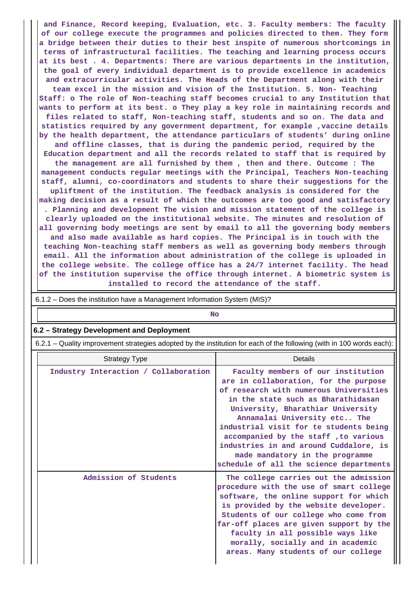**and Finance, Record keeping, Evaluation, etc. 3. Faculty members: The faculty of our college execute the programmes and policies directed to them. They form a bridge between their duties to their best inspite of numerous shortcomings in terms of infrastructural facilities. The teaching and learning process occurs at its best . 4. Departments: There are various departments in the institution, the goal of every individual department is to provide excellence in academics and extracurricular activities. The Heads of the Department along with their team excel in the mission and vision of the Institution. 5. Non- Teaching Staff: o The role of Non-teaching staff becomes crucial to any Institution that wants to perform at its best. o They play a key role in maintaining records and files related to staff, Non-teaching staff, students and so on. The data and statistics required by any government department, for example ,vaccine details by the health department, the attendance particulars of students' during online and offline classes, that is during the pandemic period, required by the Education department and all the records related to staff that is required by the management are all furnished by them , then and there. Outcome : The management conducts regular meetings with the Principal, Teachers Non-teaching staff, alumni, co-coordinators and students to share their suggestions for the upliftment of the institution. The feedback analysis is considered for the making decision as a result of which the outcomes are too good and satisfactory . Planning and development The vision and mission statement of the college is clearly uploaded on the institutional website. The minutes and resolution of all governing body meetings are sent by email to all the governing body members and also made available as hard copies. The Principal is in touch with the teaching Non-teaching staff members as well as governing body members through email. All the information about administration of the college is uploaded in the college website. The college office has a 24/7 internet facility. The head of the institution supervise the office through internet. A biometric system is installed to record the attendance of the staff.**

| $0.1.2 - \text{DOS}$ are institution nave a management information system (mor): |                                                                                                                                                                                                                                                                                                                                                                                                                                            |  |  |
|----------------------------------------------------------------------------------|--------------------------------------------------------------------------------------------------------------------------------------------------------------------------------------------------------------------------------------------------------------------------------------------------------------------------------------------------------------------------------------------------------------------------------------------|--|--|
| <b>No</b>                                                                        |                                                                                                                                                                                                                                                                                                                                                                                                                                            |  |  |
| 6.2 - Strategy Development and Deployment                                        |                                                                                                                                                                                                                                                                                                                                                                                                                                            |  |  |
|                                                                                  | 6.2.1 – Quality improvement strategies adopted by the institution for each of the following (with in 100 words each):                                                                                                                                                                                                                                                                                                                      |  |  |
| <b>Strategy Type</b>                                                             | Details                                                                                                                                                                                                                                                                                                                                                                                                                                    |  |  |
| Industry Interaction / Collaboration                                             | Faculty members of our institution<br>are in collaboration, for the purpose<br>of research with numerous Universities<br>in the state such as Bharathidasan<br>University, Bharathiar University<br>Annamalai University etc The<br>industrial visit for te students being<br>accompanied by the staff, to various<br>industries in and around Cuddalore, is<br>made mandatory in the programme<br>schedule of all the science departments |  |  |
| Admission of Students                                                            | The college carries out the admission<br>procedure with the use of smart college<br>software, the online support for which<br>is provided by the website developer.<br>Students of our college who come from<br>far-off places are given support by the<br>faculty in all possible ways like<br>morally, socially and in academic<br>areas. Many students of our college                                                                   |  |  |

# $\overline{6.1.2}$  – Does the institution have a Management Information System (MIS)?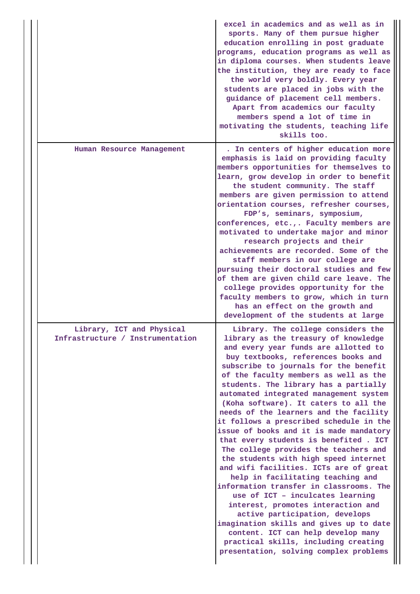|                                                               | excel in academics and as well as in<br>sports. Many of them pursue higher<br>education enrolling in post graduate<br>programs, education programs as well as<br>in diploma courses. When students leave<br>the institution, they are ready to face<br>the world very boldly. Every year<br>students are placed in jobs with the<br>guidance of placement cell members.<br>Apart from academics our faculty<br>members spend a lot of time in<br>motivating the students, teaching life<br>skills too.                                                                                                                                                                                                                                                                                                                                                                                                                                                                                                                                      |
|---------------------------------------------------------------|---------------------------------------------------------------------------------------------------------------------------------------------------------------------------------------------------------------------------------------------------------------------------------------------------------------------------------------------------------------------------------------------------------------------------------------------------------------------------------------------------------------------------------------------------------------------------------------------------------------------------------------------------------------------------------------------------------------------------------------------------------------------------------------------------------------------------------------------------------------------------------------------------------------------------------------------------------------------------------------------------------------------------------------------|
| Human Resource Management                                     | . In centers of higher education more<br>emphasis is laid on providing faculty<br>members opportunities for themselves to<br>learn, grow develop in order to benefit<br>the student community. The staff<br>members are given permission to attend<br>orientation courses, refresher courses,<br>FDP's, seminars, symposium,<br>conferences, etc.,. Faculty members are<br>motivated to undertake major and minor<br>research projects and their<br>achievements are recorded. Some of the<br>staff members in our college are<br>pursuing their doctoral studies and few<br>of them are given child care leave. The<br>college provides opportunity for the<br>faculty members to grow, which in turn<br>has an effect on the growth and<br>development of the students at large                                                                                                                                                                                                                                                           |
| Library, ICT and Physical<br>Infrastructure / Instrumentation | Library. The college considers the<br>library as the treasury of knowledge<br>and every year funds are allotted to<br>buy textbooks, references books and<br>subscribe to journals for the benefit<br>of the faculty members as well as the<br>students. The library has a partially<br>automated integrated management system<br>(Koha software). It caters to all the<br>needs of the learners and the facility<br>it follows a prescribed schedule in the<br>issue of books and it is made mandatory<br>that every students is benefited. ICT<br>The college provides the teachers and<br>the students with high speed internet<br>and wifi facilities. ICTs are of great<br>help in facilitating teaching and<br>information transfer in classrooms. The<br>use of ICT - inculcates learning<br>interest, promotes interaction and<br>active participation, develops<br>imagination skills and gives up to date<br>content. ICT can help develop many<br>practical skills, including creating<br>presentation, solving complex problems |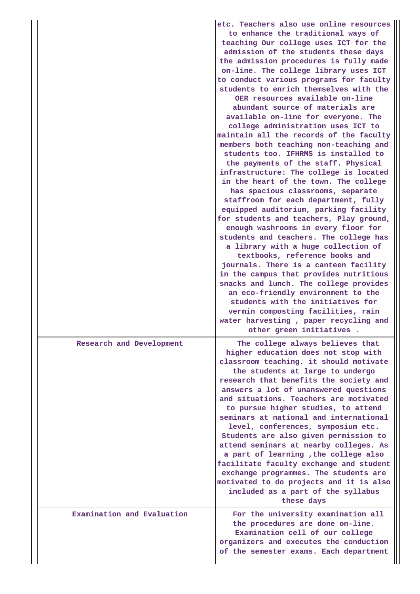|  |                            | etc. Teachers also use online resources<br>to enhance the traditional ways of<br>teaching Our college uses ICT for the<br>admission of the students these days<br>the admission procedures is fully made<br>on-line. The college library uses ICT<br>to conduct various programs for faculty<br>students to enrich themselves with the<br>OER resources available on-line<br>abundant source of materials are<br>available on-line for everyone. The<br>college administration uses ICT to<br>maintain all the records of the faculty<br>members both teaching non-teaching and<br>students too. IFHRMS is installed to<br>the payments of the staff. Physical<br>infrastructure: The college is located<br>in the heart of the town. The college<br>has spacious classrooms, separate<br>staffroom for each department, fully<br>equipped auditorium, parking facility<br>for students and teachers, Play ground,<br>enough washrooms in every floor for<br>students and teachers. The college has<br>a library with a huge collection of<br>textbooks, reference books and<br>journals. There is a canteen facility<br>in the campus that provides nutritious<br>snacks and lunch. The college provides<br>an eco-friendly environment to the<br>students with the initiatives for<br>vermin composting facilities, rain<br>water harvesting, paper recycling and<br>other green initiatives. |
|--|----------------------------|-------------------------------------------------------------------------------------------------------------------------------------------------------------------------------------------------------------------------------------------------------------------------------------------------------------------------------------------------------------------------------------------------------------------------------------------------------------------------------------------------------------------------------------------------------------------------------------------------------------------------------------------------------------------------------------------------------------------------------------------------------------------------------------------------------------------------------------------------------------------------------------------------------------------------------------------------------------------------------------------------------------------------------------------------------------------------------------------------------------------------------------------------------------------------------------------------------------------------------------------------------------------------------------------------------------------------------------------------------------------------------------------------|
|  | Research and Development   | The college always believes that<br>higher education does not stop with<br>classroom teaching. it should motivate<br>the students at large to undergo<br>research that benefits the society and<br>answers a lot of unanswered questions<br>and situations. Teachers are motivated<br>to pursue higher studies, to attend<br>seminars at national and international<br>level, conferences, symposium etc.<br>Students are also given permission to<br>attend seminars at nearby colleges. As<br>a part of learning , the college also<br>facilitate faculty exchange and student<br>exchange programmes. The students are<br>motivated to do projects and it is also<br>included as a part of the syllabus<br>these days                                                                                                                                                                                                                                                                                                                                                                                                                                                                                                                                                                                                                                                                        |
|  | Examination and Evaluation | For the university examination all<br>the procedures are done on-line.<br>Examination cell of our college<br>organizers and executes the conduction<br>of the semester exams. Each department                                                                                                                                                                                                                                                                                                                                                                                                                                                                                                                                                                                                                                                                                                                                                                                                                                                                                                                                                                                                                                                                                                                                                                                                   |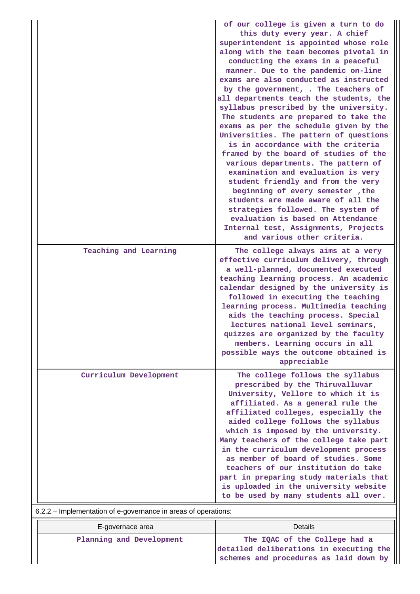|                                                                | of our college is given a turn to do<br>this duty every year. A chief<br>superintendent is appointed whose role<br>along with the team becomes pivotal in<br>conducting the exams in a peaceful<br>manner. Due to the pandemic on-line<br>exams are also conducted as instructed<br>by the government, . The teachers of<br>all departments teach the students, the<br>syllabus prescribed by the university.<br>The students are prepared to take the<br>exams as per the schedule given by the<br>Universities. The pattern of questions<br>is in accordance with the criteria<br>framed by the board of studies of the<br>various departments. The pattern of<br>examination and evaluation is very<br>student friendly and from the very<br>beginning of every semester, the<br>students are made aware of all the<br>strategies followed. The system of<br>evaluation is based on Attendance<br>Internal test, Assignments, Projects<br>and various other criteria. |
|----------------------------------------------------------------|--------------------------------------------------------------------------------------------------------------------------------------------------------------------------------------------------------------------------------------------------------------------------------------------------------------------------------------------------------------------------------------------------------------------------------------------------------------------------------------------------------------------------------------------------------------------------------------------------------------------------------------------------------------------------------------------------------------------------------------------------------------------------------------------------------------------------------------------------------------------------------------------------------------------------------------------------------------------------|
| Teaching and Learning                                          | The college always aims at a very<br>effective curriculum delivery, through<br>a well-planned, documented executed<br>teaching learning process. An academic<br>calendar designed by the university is<br>followed in executing the teaching<br>learning process. Multimedia teaching<br>aids the teaching process. Special<br>lectures national level seminars,<br>quizzes are organized by the faculty<br>members. Learning occurs in all<br>possible ways the outcome obtained is<br>appreciable                                                                                                                                                                                                                                                                                                                                                                                                                                                                      |
| Curriculum Development                                         | The college follows the syllabus<br>prescribed by the Thiruvalluvar<br>University, Vellore to which it is<br>affiliated. As a general rule the<br>affiliated colleges, especially the<br>aided college follows the syllabus<br>which is imposed by the university.<br>Many teachers of the college take part<br>in the curriculum development process<br>as member of board of studies. Some<br>teachers of our institution do take<br>part in preparing study materials that<br>is uploaded in the university website<br>to be used by many students all over.                                                                                                                                                                                                                                                                                                                                                                                                          |
| 6.2.2 - Implementation of e-governance in areas of operations: |                                                                                                                                                                                                                                                                                                                                                                                                                                                                                                                                                                                                                                                                                                                                                                                                                                                                                                                                                                          |

| E-governace area         | Details                                                                  |
|--------------------------|--------------------------------------------------------------------------|
| Planning and Development | The IQAC of the College had a<br>detailed deliberations in executing the |
|                          | schemes and procedures as laid down by                                   |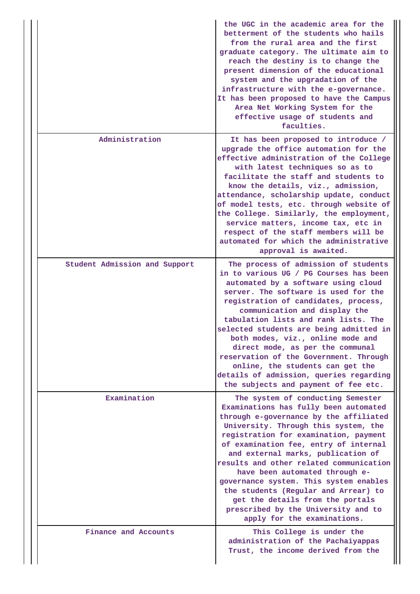|  |                               | the UGC in the academic area for the<br>betterment of the students who hails<br>from the rural area and the first<br>graduate category. The ultimate aim to<br>reach the destiny is to change the<br>present dimension of the educational<br>system and the upgradation of the<br>infrastructure with the e-governance.<br>It has been proposed to have the Campus<br>Area Net Working System for the<br>effective usage of students and<br>faculties.                                                                                                              |
|--|-------------------------------|---------------------------------------------------------------------------------------------------------------------------------------------------------------------------------------------------------------------------------------------------------------------------------------------------------------------------------------------------------------------------------------------------------------------------------------------------------------------------------------------------------------------------------------------------------------------|
|  | Administration                | It has been proposed to introduce /<br>upgrade the office automation for the<br>effective administration of the College<br>with latest techniques so as to<br>facilitate the staff and students to<br>know the details, viz., admission,<br>attendance, scholarship update, conduct<br>of model tests, etc. through website of<br>the College. Similarly, the employment,<br>service matters, income tax, etc in<br>respect of the staff members will be<br>automated for which the administrative<br>approval is awaited.                                          |
|  | Student Admission and Support | The process of admission of students<br>in to various UG / PG Courses has been<br>automated by a software using cloud<br>server. The software is used for the<br>registration of candidates, process,<br>communication and display the<br>tabulation lists and rank lists. The<br>selected students are being admitted in<br>both modes, viz., online mode and<br>direct mode, as per the communal<br>reservation of the Government. Through<br>online, the students can get the<br>details of admission, queries regarding<br>the subjects and payment of fee etc. |
|  | Examination                   | The system of conducting Semester<br>Examinations has fully been automated<br>through e-governance by the affiliated<br>University. Through this system, the<br>registration for examination, payment<br>of examination fee, entry of internal<br>and external marks, publication of<br>results and other related communication<br>have been automated through e-<br>governance system. This system enables<br>the students (Regular and Arrear) to<br>get the details from the portals<br>prescribed by the University and to<br>apply for the examinations.       |
|  | Finance and Accounts          | This College is under the<br>administration of the Pachaiyappas<br>Trust, the income derived from the                                                                                                                                                                                                                                                                                                                                                                                                                                                               |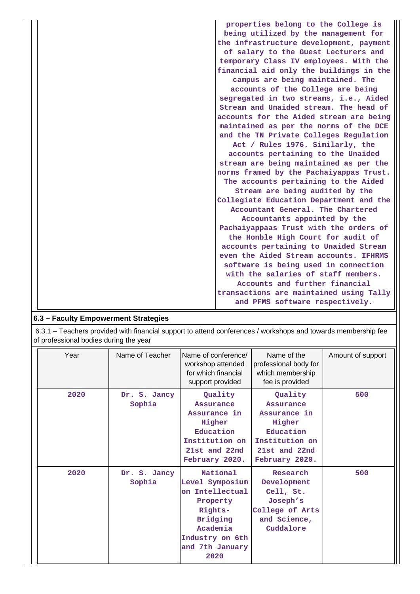| properties belong to the College is     |
|-----------------------------------------|
| being utilized by the management for    |
| the infrastructure development, payment |
| of salary to the Guest Lecturers and    |
| temporary Class IV employees. With the  |
| financial aid only the buildings in the |
| campus are being maintained. The        |
| accounts of the College are being       |
| segregated in two streams, i.e., Aided  |
| Stream and Unaided stream. The head of  |
| accounts for the Aided stream are being |
| maintained as per the norms of the DCE  |
| and the TN Private Colleges Regulation  |
| Act / Rules 1976. Similarly, the        |
| accounts pertaining to the Unaided      |
| stream are being maintained as per the  |
| norms framed by the Pachaiyappas Trust. |
| The accounts pertaining to the Aided    |
| Stream are being audited by the         |
| Collegiate Education Department and the |
| Accountant General. The Chartered       |
| Accountants appointed by the            |
| Pachaiyappaas Trust with the orders of  |
| the Honble High Court for audit of      |
| accounts pertaining to Unaided Stream   |
| even the Aided Stream accounts. IFHRMS  |
| software is being used in connection    |
| with the salaries of staff members.     |
| Accounts and further financial          |
| transactions are maintained using Tally |
| and PFMS software respectively.         |

| 6.3 - Faculty Empowerment Strategies |  |  |  |  |
|--------------------------------------|--|--|--|--|
|--------------------------------------|--|--|--|--|

 6.3.1 – Teachers provided with financial support to attend conferences / workshops and towards membership fee of professional bodies during the year

| Year | Name of Teacher        | Name of conference/<br>workshop attended<br>for which financial<br>support provided                                                                | Name of the<br>professional body for<br>which membership<br>fee is provided                                             | Amount of support |
|------|------------------------|----------------------------------------------------------------------------------------------------------------------------------------------------|-------------------------------------------------------------------------------------------------------------------------|-------------------|
| 2020 | Dr. S. Jancy<br>Sophia | Quality<br>Assurance<br>Assurance in<br>Higher<br>Education<br>Institution on<br>21st and 22nd<br>February 2020.                                   | Quality<br><b>Assurance</b><br>Assurance in<br>Higher<br>Education<br>Institution on<br>21st and 22nd<br>February 2020. | 500               |
| 2020 | Dr. S. Jancy<br>Sophia | National<br>Level Symposium<br>on Intellectual<br>Property<br>Rights-<br><b>Bridging</b><br>Academia<br>Industry on 6th<br>and 7th January<br>2020 | Research<br>Development<br>Cell, St.<br>Joseph's<br>College of Arts<br>and Science,<br>Cuddalore                        | 500               |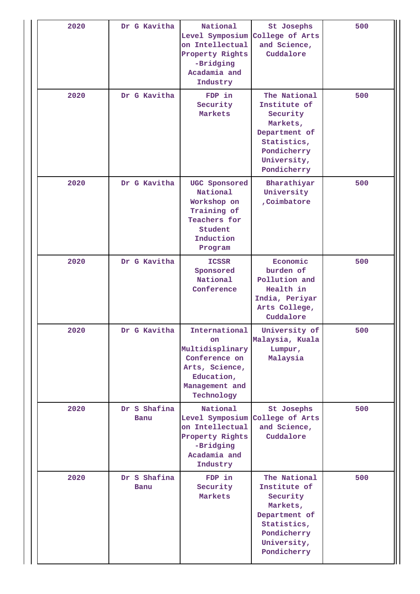| 2020 | Dr G Kavitha         | National<br>Level Symposium College of Arts<br>on Intellectual<br>Property Rights<br>-Bridging<br>Acadamia and<br>Industry     | St Josephs<br>and Science,<br>Cuddalore                                                                                           | 500 |
|------|----------------------|--------------------------------------------------------------------------------------------------------------------------------|-----------------------------------------------------------------------------------------------------------------------------------|-----|
| 2020 | Dr G Kavitha         | FDP in<br>Security<br>Markets                                                                                                  | The National<br>Institute of<br>Security<br>Markets,<br>Department of<br>Statistics,<br>Pondicherry<br>University,<br>Pondicherry | 500 |
| 2020 | Dr G Kavitha         | UGC Sponsored<br>National<br>Workshop on<br>Training of<br>Teachers for<br>Student<br>Induction<br>Program                     | Bharathiyar<br>University<br>, Coimbatore                                                                                         | 500 |
| 2020 | Dr G Kavitha         | <b>ICSSR</b><br>Sponsored<br>National<br>Conference                                                                            | Economic<br>burden of<br>Pollution and<br>Health in<br>India, Periyar<br>Arts College,<br>Cuddalore                               | 500 |
| 2020 | Dr G Kavitha         | International<br><b>on</b><br>Multidisplinary<br>Conference on<br>Arts, Science,<br>Education,<br>Management and<br>Technology | University of<br>Malaysia, Kuala<br>Lumpur,<br>Malaysia                                                                           | 500 |
| 2020 | Dr S Shafina<br>Banu | National<br>Level Symposium<br>on Intellectual<br>Property Rights<br>-Bridging<br>Acadamia and<br>Industry                     | St Josephs<br>College of Arts<br>and Science,<br>Cuddalore                                                                        | 500 |
| 2020 | Dr S Shafina<br>Banu | FDP in<br>Security<br>Markets                                                                                                  | The National<br>Institute of<br>Security<br>Markets,<br>Department of<br>Statistics,<br>Pondicherry<br>University,<br>Pondicherry | 500 |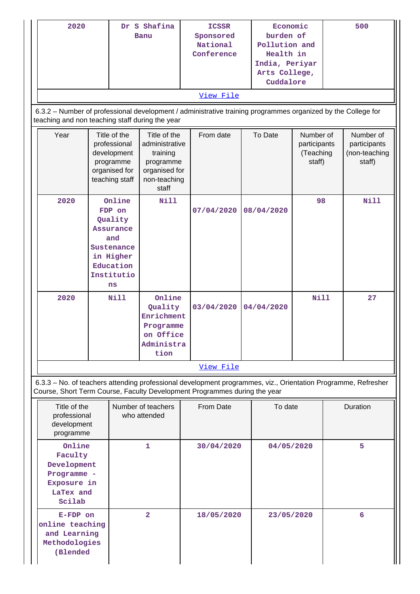| 2020                                                                                                                                                                                       | Dr S Shafina                                                                                                               |                                                                                                                    |                                                                                                   | Economic<br><b>ICSSR</b> |                       | 500        |                                 |                                                  |    |                                                      |
|--------------------------------------------------------------------------------------------------------------------------------------------------------------------------------------------|----------------------------------------------------------------------------------------------------------------------------|--------------------------------------------------------------------------------------------------------------------|---------------------------------------------------------------------------------------------------|--------------------------|-----------------------|------------|---------------------------------|--------------------------------------------------|----|------------------------------------------------------|
|                                                                                                                                                                                            | <b>Banu</b>                                                                                                                |                                                                                                                    |                                                                                                   |                          | Sponsored<br>National |            | burden of<br>Pollution and      |                                                  |    |                                                      |
|                                                                                                                                                                                            |                                                                                                                            |                                                                                                                    |                                                                                                   |                          | Conference            |            | Health in                       |                                                  |    |                                                      |
|                                                                                                                                                                                            |                                                                                                                            |                                                                                                                    |                                                                                                   |                          |                       |            | India, Periyar<br>Arts College, |                                                  |    |                                                      |
|                                                                                                                                                                                            |                                                                                                                            |                                                                                                                    |                                                                                                   |                          |                       |            | Cuddalore                       |                                                  |    |                                                      |
|                                                                                                                                                                                            |                                                                                                                            |                                                                                                                    |                                                                                                   |                          | View File             |            |                                 |                                                  |    |                                                      |
| 6.3.2 - Number of professional development / administrative training programmes organized by the College for<br>teaching and non teaching staff during the year                            |                                                                                                                            |                                                                                                                    |                                                                                                   |                          |                       |            |                                 |                                                  |    |                                                      |
| Year                                                                                                                                                                                       | Title of the<br>professional<br>development<br>programme<br>organised for<br>teaching staff                                |                                                                                                                    | Title of the<br>administrative<br>training<br>programme<br>organised for<br>non-teaching<br>staff |                          | From date             | To Date    |                                 | Number of<br>participants<br>(Teaching<br>staff) |    | Number of<br>participants<br>(non-teaching<br>staff) |
| 2020                                                                                                                                                                                       |                                                                                                                            | Online<br>FDP on<br>Quality<br><b>Assurance</b><br>and<br>Sustenance<br>in Higher<br>Education<br>Institutio<br>ns | <b>Nill</b>                                                                                       |                          | 07/04/2020            |            | 08/04/2020                      |                                                  | 98 | Nill                                                 |
| 2020                                                                                                                                                                                       | <b>Nill</b><br>Online<br>03/04/2020<br>04/04/2020<br>Quality<br>Enrichment<br>Programme<br>on Office<br>Administra<br>tion |                                                                                                                    |                                                                                                   | <b>Nill</b>              |                       | 27         |                                 |                                                  |    |                                                      |
|                                                                                                                                                                                            |                                                                                                                            |                                                                                                                    |                                                                                                   | View File                |                       |            |                                 |                                                  |    |                                                      |
| 6.3.3 - No. of teachers attending professional development programmes, viz., Orientation Programme, Refresher<br>Course, Short Term Course, Faculty Development Programmes during the year |                                                                                                                            |                                                                                                                    |                                                                                                   |                          |                       |            |                                 |                                                  |    |                                                      |
|                                                                                                                                                                                            | Title of the<br>Number of teachers<br>professional<br>who attended<br>development<br>programme                             |                                                                                                                    |                                                                                                   |                          | From Date             |            | To date                         |                                                  |    | Duration                                             |
| Scilab                                                                                                                                                                                     | Online<br>1<br>Faculty<br>Development<br>Programme -<br>Exposure in<br>LaTex and                                           |                                                                                                                    |                                                                                                   | 30/04/2020               |                       | 04/05/2020 |                                 |                                                  | 5  |                                                      |
| $\overline{\mathbf{2}}$<br>E-FDP on<br>online teaching<br>and Learning<br>Methodologies<br>(Blended                                                                                        |                                                                                                                            |                                                                                                                    | 18/05/2020                                                                                        |                          | 23/05/2020            |            |                                 | 6                                                |    |                                                      |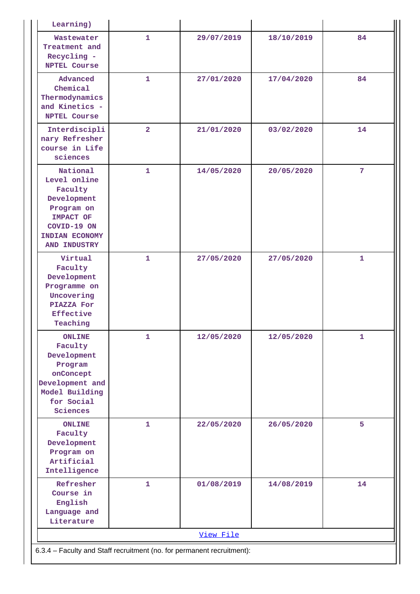| Learning)                                                                                                                             |                |            |            |              |  |  |  |  |
|---------------------------------------------------------------------------------------------------------------------------------------|----------------|------------|------------|--------------|--|--|--|--|
| Wastewater<br>Treatment and<br>Recycling -<br><b>NPTEL Course</b>                                                                     | $\mathbf{1}$   | 29/07/2019 | 18/10/2019 | 84           |  |  |  |  |
| Advanced<br>Chemical<br>Thermodynamics<br>and Kinetics -<br><b>NPTEL Course</b>                                                       | $\mathbf{1}$   | 27/01/2020 | 17/04/2020 | 84           |  |  |  |  |
| Interdiscipli<br>nary Refresher<br>course in Life<br>sciences                                                                         | $\overline{2}$ | 21/01/2020 | 03/02/2020 | 14           |  |  |  |  |
| National<br>Level online<br>Faculty<br>Development<br>Program on<br><b>IMPACT OF</b><br>COVID-19 ON<br>INDIAN ECONOMY<br>AND INDUSTRY | $\mathbf{1}$   | 14/05/2020 | 20/05/2020 | 7            |  |  |  |  |
| Virtual<br>Faculty<br>Development<br>Programme on<br>Uncovering<br><b>PIAZZA For</b><br><b>Effective</b><br>Teaching                  | $\mathbf{1}$   | 27/05/2020 | 27/05/2020 | $\mathbf{1}$ |  |  |  |  |
| <b>ONTTNE</b><br>Faculty<br>Development<br>Program<br>onConcept<br>Development and<br>Model Building<br>for Social<br>Sciences        | $\mathbf 1$    | 12/05/2020 | 12/05/2020 | 1            |  |  |  |  |
| <b>ONLINE</b><br>Faculty<br>Development<br>Program on<br>Artificial<br>Intelligence                                                   | $\mathbf{1}$   | 22/05/2020 | 26/05/2020 | 5            |  |  |  |  |
| Refresher<br>Course in<br>English<br>Language and<br>Literature                                                                       | $\mathbf{1}$   | 01/08/2019 | 14/08/2019 | 14           |  |  |  |  |
| View File                                                                                                                             |                |            |            |              |  |  |  |  |
| 6.3.4 - Faculty and Staff recruitment (no. for permanent recruitment):                                                                |                |            |            |              |  |  |  |  |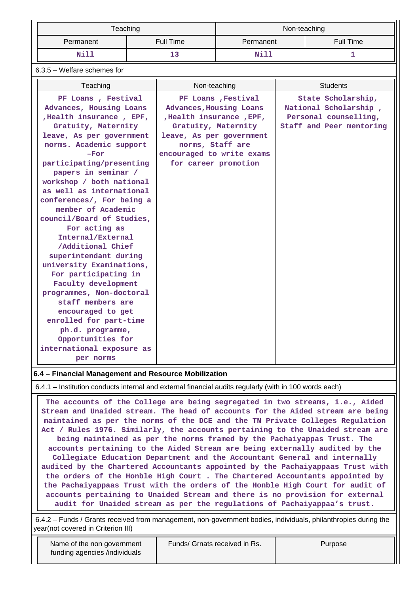|           | Teaching  | Non-teaching |           |  |  |
|-----------|-----------|--------------|-----------|--|--|
| Permanent | Full Time | Permanent    | Full Time |  |  |
| Nill      |           | Nill         |           |  |  |

### 6.3.5 – Welfare schemes for

| Teaching                                                                                                                                                                                                                                                                                                                                                                                                                                                                                             | Non-teaching                                                                                                                                                                                           | <b>Students</b>                                                                                  |
|------------------------------------------------------------------------------------------------------------------------------------------------------------------------------------------------------------------------------------------------------------------------------------------------------------------------------------------------------------------------------------------------------------------------------------------------------------------------------------------------------|--------------------------------------------------------------------------------------------------------------------------------------------------------------------------------------------------------|--------------------------------------------------------------------------------------------------|
| PF Loans, Festival<br>Advances, Housing Loans<br>, Health insurance, EPF,<br>Gratuity, Maternity<br>leave, As per government<br>norms. Academic support<br>$-For$<br>participating/presenting<br>papers in seminar /<br>workshop / both national<br>as well as international<br>conferences/, For being a<br>member of Academic<br>council/Board of Studies,<br>For acting as<br>Internal/External<br>/Additional Chief<br>superintendant during<br>university Examinations,<br>For participating in | PF Loans , Festival<br>Advances, Housing Loans<br>, Health insurance, EPF,<br>Gratuity, Maternity<br>leave, As per government<br>norms, Staff are<br>encouraged to write exams<br>for career promotion | State Scholarship,<br>National Scholarship,<br>Personal counselling,<br>Staff and Peer mentoring |
| Faculty development<br>programmes, Non-doctoral<br>staff members are<br>encouraged to get<br>enrolled for part-time<br>ph.d. programme,<br>Opportunities for<br>international exposure as<br>per norms                                                                                                                                                                                                                                                                                               |                                                                                                                                                                                                        |                                                                                                  |

### **6.4 – Financial Management and Resource Mobilization**

6.4.1 – Institution conducts internal and external financial audits regularly (with in 100 words each)

 **The accounts of the College are being segregated in two streams, i.e., Aided Stream and Unaided stream. The head of accounts for the Aided stream are being maintained as per the norms of the DCE and the TN Private Colleges Regulation Act / Rules 1976. Similarly, the accounts pertaining to the Unaided stream are being maintained as per the norms framed by the Pachaiyappas Trust. The accounts pertaining to the Aided Stream are being externally audited by the Collegiate Education Department and the Accountant General and internally audited by the Chartered Accountants appointed by the Pachaiyappaas Trust with the orders of the Honble High Court . The Chartered Accountants appointed by the Pachaiyappaas Trust with the orders of the Honble High Court for audit of accounts pertaining to Unaided Stream and there is no provision for external audit for Unaided stream as per the regulations of Pachaiyappaa's trust.**

 6.4.2 – Funds / Grants received from management, non-government bodies, individuals, philanthropies during the year(not covered in Criterion III)

| Name of the non government    |
|-------------------------------|
| funding agencies /individuals |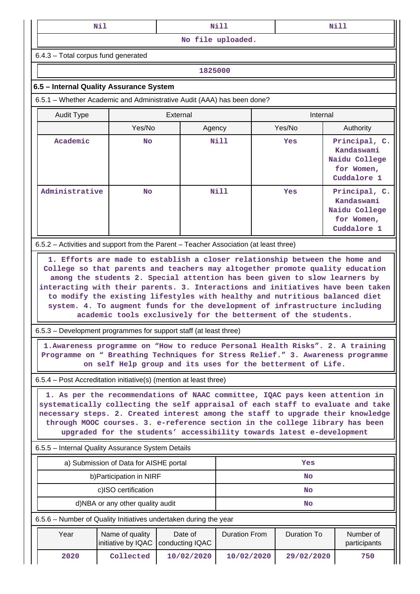| ned i<br>---- | <b>ARA 7 7 7</b><br>M<br>----- | Mi<br>__<br>-----<br>____ |
|---------------|--------------------------------|---------------------------|
|               |                                |                           |

**No file uploaded.**

6.4.3 – Total corpus fund generated

**1825000**

#### **6.5 – Internal Quality Assurance System**

6.5.1 – Whether Academic and Administrative Audit (AAA) has been done?

| Audit Type     | External  |             | Internal |                                                                           |  |
|----------------|-----------|-------------|----------|---------------------------------------------------------------------------|--|
|                | Yes/No    | Agency      | Yes/No   | Authority                                                                 |  |
| Academic       | <b>No</b> | <b>Nill</b> | Yes      | Principal, C.<br>Kandaswami<br>Naidu College<br>for Women,<br>Cuddalore 1 |  |
| Administrative | <b>No</b> | Nill        | Yes      | Principal, C.<br>Kandaswami<br>Naidu College<br>for Women,<br>Cuddalore 1 |  |

6.5.2 – Activities and support from the Parent – Teacher Association (at least three)

 **1. Efforts are made to establish a closer relationship between the home and College so that parents and teachers may altogether promote quality education among the students 2. Special attention has been given to slow learners by interacting with their parents. 3. Interactions and initiatives have been taken to modify the existing lifestyles with healthy and nutritious balanced diet system. 4. To augment funds for the development of infrastructure including academic tools exclusively for the betterment of the students.**

6.5.3 – Development programmes for support staff (at least three)

 **1.Awareness programme on "How to reduce Personal Health Risks". 2. A training Programme on " Breathing Techniques for Stress Relief." 3. Awareness programme on self Help group and its uses for the betterment of Life.**

6.5.4 – Post Accreditation initiative(s) (mention at least three)

 **1. As per the recommendations of NAAC committee, IQAC pays keen attention in systematically collecting the self appraisal of each staff to evaluate and take necessary steps. 2. Created interest among the staff to upgrade their knowledge through MOOC courses. 3. e-reference section in the college library has been upgraded for the students' accessibility towards latest e-development**

6.5.5 – Internal Quality Assurance System Details

|      | a) Submission of Data for AISHE portal                           |                            | Yes                  |             |                           |  |
|------|------------------------------------------------------------------|----------------------------|----------------------|-------------|---------------------------|--|
|      | b) Participation in NIRF                                         |                            | <b>No</b>            |             |                           |  |
|      | c)ISO certification                                              |                            | <b>No</b>            |             |                           |  |
|      | d)NBA or any other quality audit                                 |                            | <b>No</b>            |             |                           |  |
|      | 6.5.6 - Number of Quality Initiatives undertaken during the year |                            |                      |             |                           |  |
| Year | Name of quality<br>initiative by IQAC                            | Date of<br>conducting IQAC | <b>Duration From</b> | Duration To | Number of<br>participants |  |
| 2020 | Collected                                                        | 10/02/2020                 | 10/02/2020           | 29/02/2020  | 750                       |  |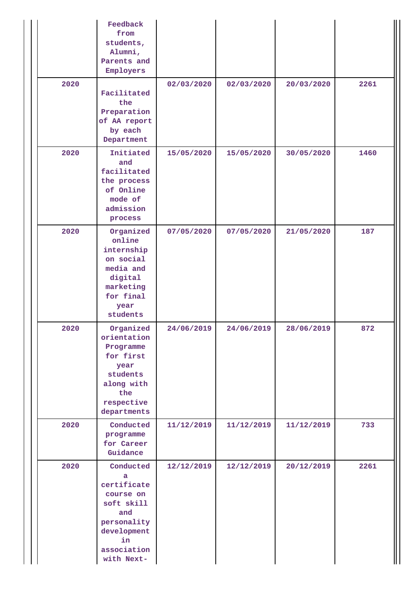|      | Feedback<br>from<br>students,<br>Alumni,<br>Parents and<br>Employers                                                             |            |            |            |      |
|------|----------------------------------------------------------------------------------------------------------------------------------|------------|------------|------------|------|
| 2020 | Facilitated<br>the<br>Preparation<br>of AA report<br>by each<br>Department                                                       | 02/03/2020 | 02/03/2020 | 20/03/2020 | 2261 |
| 2020 | Initiated<br>and<br>facilitated<br>the process<br>of Online<br>mode of<br>admission<br>process                                   | 15/05/2020 | 15/05/2020 | 30/05/2020 | 1460 |
| 2020 | Organized<br>online<br>internship<br>on social<br>media and<br>digital<br>marketing<br>for final<br>year<br>students             | 07/05/2020 | 07/05/2020 | 21/05/2020 | 187  |
| 2020 | Organized<br>orientation<br>Programme<br>for first<br>year<br>students<br>along with<br>the<br>respective<br>departments         | 24/06/2019 | 24/06/2019 | 28/06/2019 | 872  |
| 2020 | Conducted<br>programme<br>for Career<br>Guidance                                                                                 | 11/12/2019 | 11/12/2019 | 11/12/2019 | 733  |
| 2020 | Conducted<br>a<br>certificate<br>course on<br>soft skill<br>and<br>personality<br>development<br>in<br>association<br>with Next- | 12/12/2019 | 12/12/2019 | 20/12/2019 | 2261 |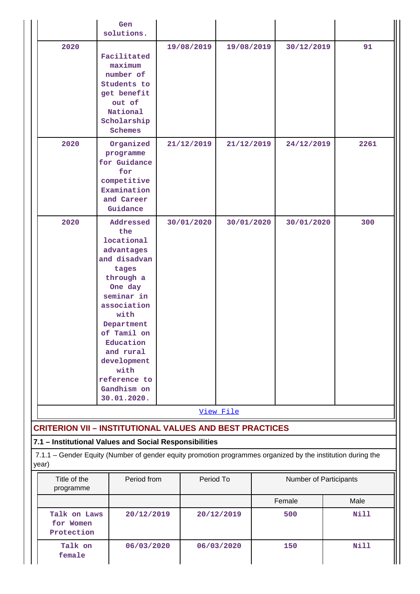|                                                                                                                      | Gen<br>solutions.                                                                                                                                                                                                                                              |             |            |            |  |                        |                     |  |
|----------------------------------------------------------------------------------------------------------------------|----------------------------------------------------------------------------------------------------------------------------------------------------------------------------------------------------------------------------------------------------------------|-------------|------------|------------|--|------------------------|---------------------|--|
| 2020                                                                                                                 | Facilitated<br>maximum<br>number of<br>Students to<br>get benefit<br>out of<br>National<br>Scholarship<br><b>Schemes</b>                                                                                                                                       |             | 19/08/2019 | 19/08/2019 |  | 30/12/2019             | 91                  |  |
| 2020                                                                                                                 | Organized<br>programme<br>for Guidance<br>for<br>competitive<br>Examination<br>and Career<br>Guidance                                                                                                                                                          |             | 21/12/2019 | 21/12/2019 |  | 24/12/2019             | 2261                |  |
| 2020                                                                                                                 | Addressed<br>the<br>locational<br>advantages<br>and disadvan<br>tages<br>through a<br>One day<br>seminar in<br>association<br>with<br>Department<br>of Tamil on<br>Education<br>and rural<br>development<br>with<br>reference to<br>Gandhism on<br>30.01.2020. |             | 30/01/2020 | 30/01/2020 |  | 30/01/2020             | 300                 |  |
|                                                                                                                      |                                                                                                                                                                                                                                                                |             |            | View File  |  |                        |                     |  |
| <b>CRITERION VII - INSTITUTIONAL VALUES AND BEST PRACTICES</b>                                                       |                                                                                                                                                                                                                                                                |             |            |            |  |                        |                     |  |
| 7.1 - Institutional Values and Social Responsibilities                                                               |                                                                                                                                                                                                                                                                |             |            |            |  |                        |                     |  |
| 7.1.1 - Gender Equity (Number of gender equity promotion programmes organized by the institution during the<br>year) |                                                                                                                                                                                                                                                                |             |            |            |  |                        |                     |  |
| Title of the<br>programme                                                                                            |                                                                                                                                                                                                                                                                | Period from |            | Period To  |  | Number of Participants |                     |  |
| Talk on Laws<br>for Women<br>Protection                                                                              | 20/12/2019                                                                                                                                                                                                                                                     |             |            | 20/12/2019 |  | Female<br>500          | Male<br><b>Nill</b> |  |
| Talk on<br>female                                                                                                    | 06/03/2020                                                                                                                                                                                                                                                     |             |            | 06/03/2020 |  | 150                    | <b>Nill</b>         |  |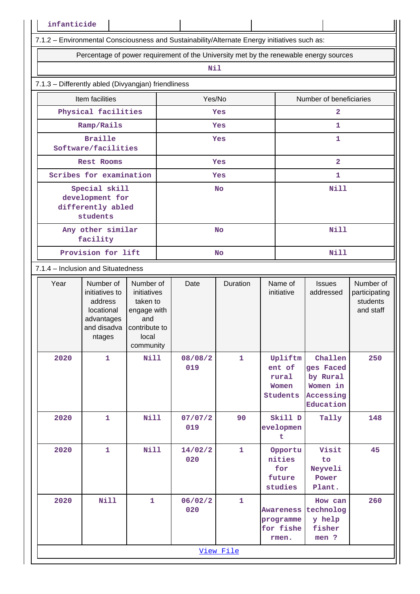|      | 7.1.2 - Environmental Consciousness and Sustainability/Alternate Energy initiatives such as:               |                                                                                  |    |                |                 |                                                     |             |                                                                        |                                                     |
|------|------------------------------------------------------------------------------------------------------------|----------------------------------------------------------------------------------|----|----------------|-----------------|-----------------------------------------------------|-------------|------------------------------------------------------------------------|-----------------------------------------------------|
|      | Percentage of power requirement of the University met by the renewable energy sources                      |                                                                                  |    |                |                 |                                                     |             |                                                                        |                                                     |
|      |                                                                                                            |                                                                                  |    | Nil            |                 |                                                     |             |                                                                        |                                                     |
|      | 7.1.3 - Differently abled (Divyangjan) friendliness                                                        |                                                                                  |    |                |                 |                                                     |             |                                                                        |                                                     |
|      | Item facilities                                                                                            |                                                                                  |    | Yes/No         |                 |                                                     |             | Number of beneficiaries                                                |                                                     |
|      | Physical facilities                                                                                        |                                                                                  |    |                | Yes             |                                                     |             | $\mathbf{2}$                                                           |                                                     |
|      | Ramp/Rails                                                                                                 |                                                                                  |    |                | Yes             |                                                     |             | 1                                                                      |                                                     |
|      | <b>Braille</b><br>Software/facilities                                                                      |                                                                                  |    |                | Yes             |                                                     |             | 1                                                                      |                                                     |
|      | Rest Rooms                                                                                                 |                                                                                  |    |                | <b>Yes</b>      |                                                     |             | $\overline{\mathbf{2}}$                                                |                                                     |
|      | Scribes for examination                                                                                    |                                                                                  |    |                | Yes             |                                                     |             | 1                                                                      |                                                     |
|      | Special skill<br>development for<br>differently abled<br>students                                          |                                                                                  |    |                | <b>No</b>       |                                                     |             | <b>Nill</b>                                                            |                                                     |
|      | Any other similar<br>facility                                                                              |                                                                                  |    |                | <b>No</b>       |                                                     | <b>Nill</b> |                                                                        |                                                     |
|      | Provision for lift                                                                                         |                                                                                  | No |                |                 |                                                     | <b>Nill</b> |                                                                        |                                                     |
|      | 7.1.4 - Inclusion and Situatedness                                                                         |                                                                                  |    |                |                 |                                                     |             |                                                                        |                                                     |
| Year | Number of<br>initiatives to<br>address<br>locational<br>advantages<br>and disadva Icontribute to<br>ntages | Number of<br>initiatives<br>taken to<br>engage with<br>and<br>local<br>community |    | Date           | <b>Duration</b> | Name of<br>initiative                               |             | <b>Issues</b><br>addressed                                             | Number of<br>participating<br>students<br>and staff |
| 2020 | $\mathbf{1}$                                                                                               | <b>Nill</b>                                                                      |    | 08/08/2<br>019 | $\mathbf{1}$    | ent of<br>rural<br>Women<br><b>Students</b>         | Upliftm     | Challen<br>ges Faced<br>by Rural<br>Women in<br>Accessing<br>Education | 250                                                 |
| 2020 | $\mathbf{1}$                                                                                               | <b>Nill</b>                                                                      |    | 07/07/2<br>019 | 90              | evelopmen<br>t                                      | Skill D     | Tally                                                                  | 148                                                 |
| 2020 | $\mathbf{1}$                                                                                               | Nill                                                                             |    | 14/02/2<br>020 | $\mathbf{1}$    | nities<br>for<br>future<br>studies                  | Opportu     | Visit<br>to<br>Neyveli<br>Power<br>Plant.                              | 45                                                  |
| 2020 | <b>Nill</b>                                                                                                | $\mathbf{1}$                                                                     |    | 06/02/2<br>020 | $\mathbf{1}$    | <b>Awareness</b><br>programme<br>for fishe<br>rmen. |             | How can<br>technolog<br>y help<br>fisher<br>men ?                      | 260                                                 |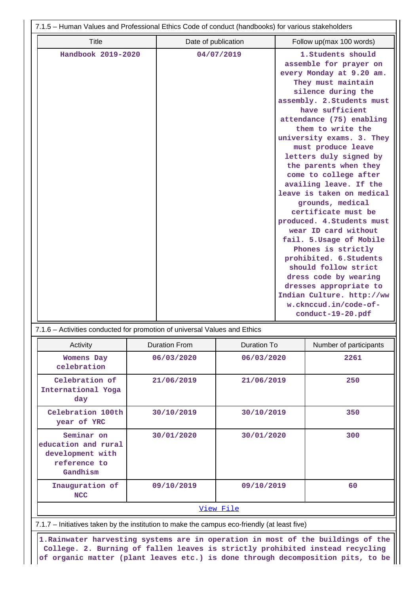| 7.1.5 - Human Values and Professional Ethics Code of conduct (handbooks) for various stakeholders |                     |                                                                                                                                                                                                                                                                                                                                                                                                                                                                                                                                                                                                                                                                                                                                                  |  |  |  |  |  |
|---------------------------------------------------------------------------------------------------|---------------------|--------------------------------------------------------------------------------------------------------------------------------------------------------------------------------------------------------------------------------------------------------------------------------------------------------------------------------------------------------------------------------------------------------------------------------------------------------------------------------------------------------------------------------------------------------------------------------------------------------------------------------------------------------------------------------------------------------------------------------------------------|--|--|--|--|--|
| Title                                                                                             | Date of publication | Follow up(max 100 words)                                                                                                                                                                                                                                                                                                                                                                                                                                                                                                                                                                                                                                                                                                                         |  |  |  |  |  |
| Handbook 2019-2020                                                                                | 04/07/2019          | 1. Students should<br>assemble for prayer on<br>every Monday at 9.20 am.<br>They must maintain<br>silence during the<br>assembly. 2. Students must<br>have sufficient<br>attendance (75) enabling<br>them to write the<br>university exams. 3. They<br>must produce leave<br>letters duly signed by<br>the parents when they<br>come to college after<br>availing leave. If the<br>leave is taken on medical<br>grounds, medical<br>certificate must be<br>produced. 4. Students must<br>wear ID card without<br>fail. 5. Usage of Mobile<br>Phones is strictly<br>prohibited. 6. Students<br>should follow strict<br>dress code by wearing<br>dresses appropriate to<br>Indian Culture. http://ww<br>w.cknccud.in/code-of-<br>conduct-19-20.pdf |  |  |  |  |  |
|                                                                                                   |                     |                                                                                                                                                                                                                                                                                                                                                                                                                                                                                                                                                                                                                                                                                                                                                  |  |  |  |  |  |

| 7.1.6 – Activities conducted for promotion of universal Values and Ethics |  |
|---------------------------------------------------------------------------|--|
|                                                                           |  |

| Activity                                                                          | <b>Duration From</b> | Duration To | Number of participants |  |
|-----------------------------------------------------------------------------------|----------------------|-------------|------------------------|--|
| <b>Womens Day</b><br>celebration                                                  | 06/03/2020           | 06/03/2020  | 2261                   |  |
| Celebration of<br>International Yoga<br>day                                       | 21/06/2019           | 21/06/2019  | 250                    |  |
| Celebration 100th<br>year of YRC                                                  | 30/10/2019           | 30/10/2019  | 350                    |  |
| Seminar on<br>education and rural<br>development with<br>reference to<br>Gandhism | 30/01/2020           | 30/01/2020  | 300                    |  |
| Inauguration of<br><b>NCC</b>                                                     | 09/10/2019           | 09/10/2019  | 60                     |  |
| View File                                                                         |                      |             |                        |  |

7.1.7 – Initiatives taken by the institution to make the campus eco-friendly (at least five)

 **1.Rainwater harvesting systems are in operation in most of the buildings of the College. 2. Burning of fallen leaves is strictly prohibited instead recycling of organic matter (plant leaves etc.) is done through decomposition pits, to be**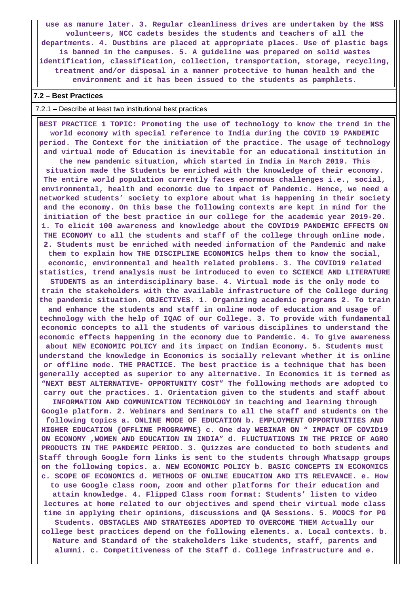**use as manure later. 3. Regular cleanliness drives are undertaken by the NSS volunteers, NCC cadets besides the students and teachers of all the departments. 4. Dustbins are placed at appropriate places. Use of plastic bags is banned in the campuses. 5. A guideline was prepared on solid wastes identification, classification, collection, transportation, storage, recycling, treatment and/or disposal in a manner protective to human health and the environment and it has been issued to the students as pamphlets.**

#### **7.2 – Best Practices**

#### 7.2.1 – Describe at least two institutional best practices

 **BEST PRACTICE 1 TOPIC: Promoting the use of technology to know the trend in the world economy with special reference to India during the COVID 19 PANDEMIC period. The Context for the initiation of the practice. The usage of technology and virtual mode of Education is inevitable for an educational institution in the new pandemic situation, which started in India in March 2019. This situation made the Students be enriched with the knowledge of their economy. The entire world population currently faces enormous challenges i.e., social, environmental, health and economic due to impact of Pandemic. Hence, we need a networked students' society to explore about what is happening in their society and the economy. On this base the following contexts are kept in mind for the initiation of the best practice in our college for the academic year 2019-20. 1. To elicit 100 awareness and knowledge about the COVID19 PANDEMIC EFFECTS ON THE ECONOMY to all the students and staff of the college through online mode. 2. Students must be enriched with needed information of the Pandemic and make them to explain how THE DISCIPLINE ECONOMICS helps them to know the social, economic, environmental and health related problems. 3. The COVID19 related statistics, trend analysis must be introduced to even to SCIENCE AND LITERATURE STUDENTS as an interdisciplinary base. 4. Virtual mode is the only mode to train the stakeholders with the available infrastructure of the College during the pandemic situation. OBJECTIVES. 1. Organizing academic programs 2. To train and enhance the students and staff in online mode of education and usage of technology with the help of IQAC of our College. 3. To provide with fundamental economic concepts to all the students of various disciplines to understand the economic effects happening in the economy due to Pandemic. 4. To give awareness about NEW ECONOMIC POLICY and its impact on Indian Economy. 5. Students must understand the knowledge in Economics is socially relevant whether it is online or offline mode. THE PRACTICE. The best practice is a technique that has been generally accepted as superior to any alternative. In Economics it is termed as "NEXT BEST ALTERNATIVE- OPPORTUNITY COST" The following methods are adopted to carry out the practices. 1. Orientation given to the students and staff about INFORMATION AND COMMUNICATION TECHNOLOGY in teaching and learning through Google platform. 2. Webinars and Seminars to all the staff and students on the following topics a. ONLINE MODE OF EDUCATION b. EMPLOYMENT OPPORTUNITIES AND HIGHER EDUCATION {OFFLINE PROGRAMME} c. One day WEBINAR ON " IMPACT OF COVID19 ON ECONOMY ,WOMEN AND EDUCATION IN INDIA" d. FLUCTUATIONS IN THE PRICE OF AGRO PRODUCTS IN THE PANDEMIC PERIOD. 3. Quizzes are conducted to both students and Staff through Google form links is sent to the students through Whatsapp groups on the following topics. a. NEW ECONOMIC POLICY b. BASIC CONCEPTS IN ECONOMICS c. SCOPE OF ECONOMICS d. METHODS OF ONLINE EDUCATION AND ITS RELEVANCE. e. How to use Google class room, zoom and other platforms for their education and attain knowledge. 4. Flipped Class room format: Students' listen to video lectures at home related to our objectives and spend their virtual mode class time in applying their opinions, discussions and QA Sessions. 5. MOOCS for PG Students. OBSTACLES AND STRATEGIES ADOPTED TO OVERCOME THEM Actually our college best practices depend on the following elements. a. Local contexts. b. Nature and Standard of the stakeholders like students, staff, parents and alumni. c. Competitiveness of the Staff d. College infrastructure and e.**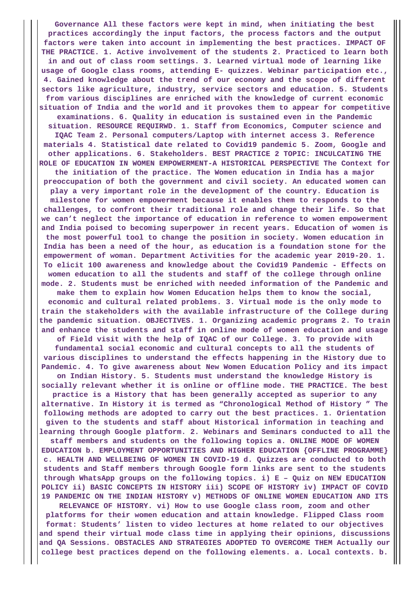**Governance All these factors were kept in mind, when initiating the best practices accordingly the input factors, the process factors and the output factors were taken into account in implementing the best practices. IMPACT OF THE PRACTICE. 1. Active involvement of the students 2. Practiced to learn both in and out of class room settings. 3. Learned virtual mode of learning like usage of Google class rooms, attending E- quizzes. Webinar participation etc., 4. Gained knowledge about the trend of our economy and the scope of different sectors like agriculture, industry, service sectors and education. 5. Students from various disciplines are enriched with the knowledge of current economic situation of India and the world and it provokes them to appear for competitive examinations. 6. Quality in education is sustained even in the Pandemic situation. RESOURCE REQUIRWD. 1. Staff from Economics, Computer science and IQAC Team 2. Personal computers/Laptop with internet access 3. Reference materials 4. Statistical date related to Covid19 pandemic 5. Zoom, Google and other applications. 6. Stakeholders. BEST PRACTICE 2 TOPIC: INCULCATING THE ROLE OF EDUCATION IN WOMEN EMPOWERMENT-A HISTORICAL PERSPECTIVE The Context for the initiation of the practice. The Women education in India has a major preoccupation of both the government and civil society. An educated women can play a very important role in the development of the country. Education is milestone for women empowerment because it enables them to responds to the challenges, to confront their traditional role and change their life. So that we can't neglect the importance of education in reference to women empowerment and India poised to becoming superpower in recent years. Education of women is the most powerful tool to change the position in society. Women education in India has been a need of the hour, as education is a foundation stone for the empowerment of woman. Department Activities for the academic year 2019-20. 1. To elicit 100 awareness and knowledge about the Covid19 Pandemic - Effects on women education to all the students and staff of the college through online mode. 2. Students must be enriched with needed information of the Pandemic and make them to explain how Women Education helps them to know the social, economic and cultural related problems. 3. Virtual mode is the only mode to train the stakeholders with the available infrastructure of the College during the pandemic situation. OBJECTIVES. 1. Organizing academic programs 2. To train and enhance the students and staff in online mode of women education and usage of Field visit with the help of IQAC of our College. 3. To provide with fundamental social economic and cultural concepts to all the students of various disciplines to understand the effects happening in the History due to Pandemic. 4. To give awareness about New Women Education Policy and its impact on Indian History. 5. Students must understand the knowledge History is socially relevant whether it is online or offline mode. THE PRACTICE. The best practice is a History that has been generally accepted as superior to any alternative. In History it is termed as "Chronological Method of History " The following methods are adopted to carry out the best practices. 1. Orientation given to the students and staff about Historical information in teaching and learning through Google platform. 2. Webinars and Seminars conducted to all the staff members and students on the following topics a. ONLINE MODE OF WOMEN EDUCATION b. EMPLOYMENT OPPORTUNITIES AND HIGHER EDUCATION {OFFLINE PROGRAMME} c. HEALTH AND WELLBEING OF WOMEN IN COVID-19 d. Quizzes are conducted to both students and Staff members through Google form links are sent to the students through WhatsApp groups on the following topics. i) E – Quiz on NEW EDUCATION POLICY ii) BASIC CONCEPTS IN HISTORY iii) SCOPE OF HISTORY iv) IMPACT OF COVID 19 PANDEMIC ON THE INDIAN HISTORY v) METHODS OF ONLINE WOMEN EDUCATION AND ITS RELEVANCE OF HISTORY. vi) How to use Google class room, zoom and other platforms for their women education and attain knowledge. Flipped Class room format: Students' listen to video lectures at home related to our objectives**

**and spend their virtual mode class time in applying their opinions, discussions and QA Sessions. OBSTACLES AND STRATEGIES ADOPTED TO OVERCOME THEM Actually our college best practices depend on the following elements. a. Local contexts. b.**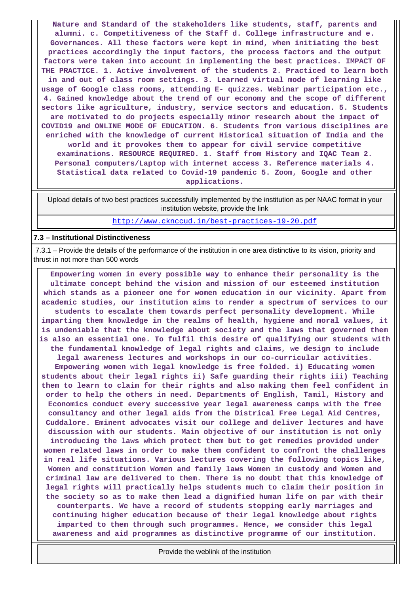**Nature and Standard of the stakeholders like students, staff, parents and alumni. c. Competitiveness of the Staff d. College infrastructure and e. Governances. All these factors were kept in mind, when initiating the best practices accordingly the input factors, the process factors and the output factors were taken into account in implementing the best practices. IMPACT OF THE PRACTICE. 1. Active involvement of the students 2. Practiced to learn both in and out of class room settings. 3. Learned virtual mode of learning like usage of Google class rooms, attending E- quizzes. Webinar participation etc., 4. Gained knowledge about the trend of our economy and the scope of different sectors like agriculture, industry, service sectors and education. 5. Students are motivated to do projects especially minor research about the impact of COVID19 and ONLINE MODE OF EDUCATION. 6. Students from various disciplines are enriched with the knowledge of current Historical situation of India and the world and it provokes them to appear for civil service competitive examinations. RESOURCE REQUIRED. 1. Staff from History and IQAC Team 2. Personal computers/Laptop with internet access 3. Reference materials 4. Statistical data related to Covid-19 pandemic 5. Zoom, Google and other applications.**

 Upload details of two best practices successfully implemented by the institution as per NAAC format in your institution website, provide the link

<http://www.cknccud.in/best-practices-19-20.pdf>

#### **7.3 – Institutional Distinctiveness**

 7.3.1 – Provide the details of the performance of the institution in one area distinctive to its vision, priority and thrust in not more than 500 words

 **Empowering women in every possible way to enhance their personality is the ultimate concept behind the vision and mission of our esteemed institution which stands as a pioneer one for women education in our vicinity. Apart from academic studies, our institution aims to render a spectrum of services to our students to escalate them towards perfect personality development. While imparting them knowledge in the realms of health, hygiene and moral values, it is undeniable that the knowledge about society and the laws that governed them is also an essential one. To fulfil this desire of qualifying our students with the fundamental knowledge of legal rights and claims, we design to include legal awareness lectures and workshops in our co-curricular activities. Empowering women with legal knowledge is free folded. i) Educating women students about their legal rights ii) Safe guarding their rights iii) Teaching them to learn to claim for their rights and also making them feel confident in order to help the others in need. Departments of English, Tamil, History and Economics conduct every successive year legal awareness camps with the free consultancy and other legal aids from the Districal Free Legal Aid Centres, Cuddalore. Eminent advocates visit our college and deliver lectures and have discussion with our students. Main objective of our institution is not only introducing the laws which protect them but to get remedies provided under women related laws in order to make them confident to confront the challenges in real life situations. Various lectures covering the following topics like, Women and constitution Women and family laws Women in custody and Women and criminal law are delivered to them. There is no doubt that this knowledge of legal rights will practically helps students much to claim their position in the society so as to make them lead a dignified human life on par with their counterparts. We have a record of students stopping early marriages and continuing higher education because of their legal knowledge about rights imparted to them through such programmes. Hence, we consider this legal awareness and aid programmes as distinctive programme of our institution.**

Provide the weblink of the institution